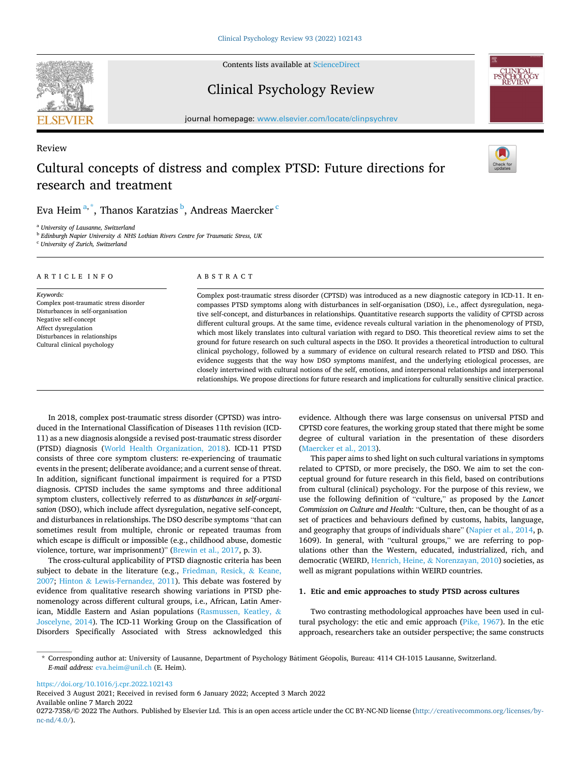

Review

Contents lists available at [ScienceDirect](www.sciencedirect.com/science/journal/02727358)

Clinical Psychology Review



journal homepage: [www.elsevier.com/locate/clinpsychrev](https://www.elsevier.com/locate/clinpsychrev) 

# Cultural concepts of distress and complex PTSD: Future directions for research and treatment



# Eva Heim $^{\mathrm{a},\mathrm{*}},$  Thanos Karatzias $^{\mathrm{b}}$ , Andreas Maercker  $^{\mathrm{c}}$

<sup>a</sup> *University of Lausanne, Switzerland* 

<sup>b</sup> *Edinburgh Napier University & NHS Lothian Rivers Centre for Traumatic Stress, UK* 

<sup>c</sup> *University of Zurich, Switzerland* 

#### ARTICLE INFO

*Keywords:*  Complex post-traumatic stress disorder Disturbances in self-organisation Negative self-concept Affect dysregulation Disturbances in relationships Cultural clinical psychology

# ABSTRACT

Complex post-traumatic stress disorder (CPTSD) was introduced as a new diagnostic category in ICD-11. It encompasses PTSD symptoms along with disturbances in self-organisation (DSO), i.e., affect dysregulation, negative self-concept, and disturbances in relationships. Quantitative research supports the validity of CPTSD across different cultural groups. At the same time, evidence reveals cultural variation in the phenomenology of PTSD, which most likely translates into cultural variation with regard to DSO. This theoretical review aims to set the ground for future research on such cultural aspects in the DSO. It provides a theoretical introduction to cultural clinical psychology, followed by a summary of evidence on cultural research related to PTSD and DSO. This evidence suggests that the way how DSO symptoms manifest, and the underlying etiological processes, are closely intertwined with cultural notions of the self, emotions, and interpersonal relationships and interpersonal relationships. We propose directions for future research and implications for culturally sensitive clinical practice.

In 2018, complex post-traumatic stress disorder (CPTSD) was introduced in the International Classification of Diseases 11th revision (ICD-11) as a new diagnosis alongside a revised post-traumatic stress disorder (PTSD) diagnosis [\(World Health Organization, 2018](#page-13-0)). ICD-11 PTSD consists of three core symptom clusters: re-experiencing of traumatic events in the present; deliberate avoidance; and a current sense of threat. In addition, significant functional impairment is required for a PTSD diagnosis. CPTSD includes the same symptoms and three additional symptom clusters, collectively referred to as *disturbances in self-organi*s*ation* (DSO), which include affect dysregulation, negative self-concept, and disturbances in relationships. The DSO describe symptoms "that can sometimes result from multiple, chronic or repeated traumas from which escape is difficult or impossible (e.g., childhood abuse, domestic violence, torture, war imprisonment)" ([Brewin et al., 2017](#page-10-0), p. 3).

The cross-cultural applicability of PTSD diagnostic criteria has been subject to debate in the literature (e.g., [Friedman, Resick,](#page-11-0) & Keane, [2007;](#page-11-0) Hinton & [Lewis-Fernandez, 2011\)](#page-11-0). This debate was fostered by evidence from qualitative research showing variations in PTSD phenomenology across different cultural groups, i.e., African, Latin American, Middle Eastern and Asian populations ([Rasmussen, Keatley,](#page-12-0) & [Joscelyne, 2014\)](#page-12-0). The ICD-11 Working Group on the Classification of Disorders Specifically Associated with Stress acknowledged this evidence. Although there was large consensus on universal PTSD and CPTSD core features, the working group stated that there might be some degree of cultural variation in the presentation of these disorders ([Maercker et al., 2013](#page-12-0)).

This paper aims to shed light on such cultural variations in symptoms related to CPTSD, or more precisely, the DSO. We aim to set the conceptual ground for future research in this field, based on contributions from cultural (clinical) psychology. For the purpose of this review, we use the following definition of "culture," as proposed by the *Lancet Commission on Culture and Health*: "Culture, then, can be thought of as a set of practices and behaviours defined by customs, habits, language, and geography that groups of individuals share" [\(Napier et al., 2014,](#page-12-0) p. 1609). In general, with "cultural groups," we are referring to populations other than the Western, educated, industrialized, rich, and democratic (WEIRD, Henrich, Heine, & [Norenzayan, 2010](#page-11-0)) societies, as well as migrant populations within WEIRD countries.

# **1. Etic and emic approaches to study PTSD across cultures**

Two contrasting methodological approaches have been used in cultural psychology: the etic and emic approach ([Pike, 1967\)](#page-12-0). In the etic approach, researchers take an outsider perspective; the same constructs

<https://doi.org/10.1016/j.cpr.2022.102143>

Available online 7 March 2022 Received 3 August 2021; Received in revised form 6 January 2022; Accepted 3 March 2022

<sup>\*</sup> Corresponding author at: University of Lausanne, Department of Psychology Bâtiment Géopolis, Bureau: 4114 CH-1015 Lausanne, Switzerland. *E-mail address:* [eva.heim@unil.ch](mailto:eva.heim@unil.ch) (E. Heim).

<sup>0272-7358/© 2022</sup> The Authors. Published by Elsevier Ltd. This is an open access article under the CC BY-NC-ND license([http://creativecommons.org/licenses/by](http://creativecommons.org/licenses/by-nc-nd/4.0/) $nc\text{-}nd/4.0/$ ).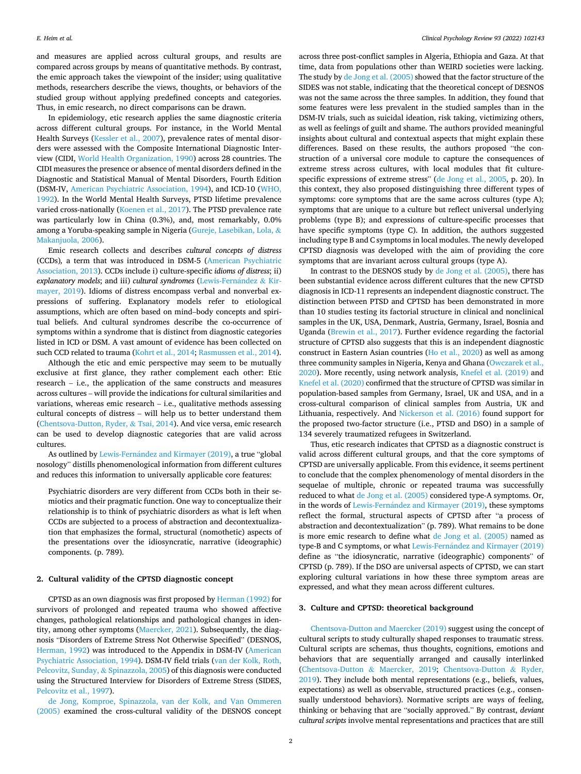and measures are applied across cultural groups, and results are compared across groups by means of quantitative methods. By contrast, the emic approach takes the viewpoint of the insider; using qualitative methods, researchers describe the views, thoughts, or behaviors of the studied group without applying predefined concepts and categories. Thus, in emic research, no direct comparisons can be drawn.

In epidemiology, etic research applies the same diagnostic criteria across different cultural groups. For instance, in the World Mental Health Surveys ([Kessler et al., 2007](#page-11-0)), prevalence rates of mental disorders were assessed with the Composite International Diagnostic Interview (CIDI, [World Health Organization, 1990](#page-13-0)) across 28 countries. The CIDI measures the presence or absence of mental disorders defined in the Diagnostic and Statistical Manual of Mental Disorders, Fourth Edition (DSM-IV, [American Psychiatric Association, 1994](#page-10-0)), and ICD-10 [\(WHO,](#page-13-0)  [1992\)](#page-13-0). In the World Mental Health Surveys, PTSD lifetime prevalence varied cross-nationally ([Koenen et al., 2017\)](#page-11-0). The PTSD prevalence rate was particularly low in China (0.3%), and, most remarkably, 0.0% among a Yoruba-speaking sample in Nigeria ([Gureje, Lasebikan, Lola,](#page-11-0) & [Makanjuola, 2006\)](#page-11-0).

Emic research collects and describes *cultural concepts of distress*  (CCDs)*,* a term that was introduced in DSM-5 ([American Psychiatric](#page-10-0)  [Association, 2013](#page-10-0)). CCDs include i) culture-specific *idioms of distress*; ii) *explanatory models*; and iii) *cultural syndromes* (Lewis-Fernández & Kir[mayer, 2019\)](#page-12-0). Idioms of distress encompass verbal and nonverbal expressions of suffering. Explanatory models refer to etiological assumptions, which are often based on mind–body concepts and spiritual beliefs. And cultural syndromes describe the co-occurrence of symptoms within a syndrome that is distinct from diagnostic categories listed in ICD or DSM. A vast amount of evidence has been collected on such CCD related to trauma ([Kohrt et al., 2014; Rasmussen et al., 2014](#page-12-0)).

Although the etic and emic perspective may seem to be mutually exclusive at first glance, they rather complement each other: Etic research – i.e., the application of the same constructs and measures across cultures – will provide the indications for cultural similarities and variations, whereas emic research – i.e., qualitative methods assessing cultural concepts of distress – will help us to better understand them ([Chentsova-Dutton, Ryder,](#page-10-0) & Tsai, 2014). And vice versa, emic research can be used to develop diagnostic categories that are valid across cultures.

As outlined by Lewis-Fernández [and Kirmayer \(2019\),](#page-12-0) a true "global nosology" distills phenomenological information from different cultures and reduces this information to universally applicable core features:

Psychiatric disorders are very different from CCDs both in their semiotics and their pragmatic function. One way to conceptualize their relationship is to think of psychiatric disorders as what is left when CCDs are subjected to a process of abstraction and decontextualization that emphasizes the formal, structural (nomothetic) aspects of the presentations over the idiosyncratic, narrative (ideographic) components. (p. 789).

#### **2. Cultural validity of the CPTSD diagnostic concept**

CPTSD as an own diagnosis was first proposed by [Herman \(1992\)](#page-11-0) for survivors of prolonged and repeated trauma who showed affective changes, pathological relationships and pathological changes in identity, among other symptoms ([Maercker, 2021](#page-12-0)). Subsequently, the diagnosis "Disorders of Extreme Stress Not Otherwise Specified" (DESNOS, [Herman, 1992\)](#page-11-0) was introduced to the Appendix in DSM-IV ([American](#page-10-0)  [Psychiatric Association, 1994](#page-10-0)). DSM-IV field trials ([van der Kolk, Roth,](#page-12-0)  [Pelcovitz, Sunday,](#page-12-0) & Spinazzola, 2005) of this diagnosis were conducted using the Structured Interview for Disorders of Extreme Stress (SIDES, [Pelcovitz et al., 1997](#page-12-0)).

[de Jong, Komproe, Spinazzola, van der Kolk, and Van Ommeren](#page-11-0)  [\(2005\)](#page-11-0) examined the cross-cultural validity of the DESNOS concept across three post-conflict samples in Algeria, Ethiopia and Gaza. At that time, data from populations other than WEIRD societies were lacking. The study by [de Jong et al. \(2005\)](#page-11-0) showed that the factor structure of the SIDES was not stable, indicating that the theoretical concept of DESNOS was not the same across the three samples. In addition, they found that some features were less prevalent in the studied samples than in the DSM-IV trials, such as suicidal ideation, risk taking, victimizing others, as well as feelings of guilt and shame. The authors provided meaningful insights about cultural and contextual aspects that might explain these differences. Based on these results, the authors proposed "the construction of a universal core module to capture the consequences of extreme stress across cultures, with local modules that fit culturespecific expressions of extreme stress" ([de Jong et al., 2005](#page-11-0), p. 20). In this context, they also proposed distinguishing three different types of symptoms: core symptoms that are the same across cultures (type A); symptoms that are unique to a culture but reflect universal underlying problems (type B); and expressions of culture-specific processes that have specific symptoms (type C). In addition, the authors suggested including type B and C symptoms in local modules. The newly developed CPTSD diagnosis was developed with the aim of providing the core symptoms that are invariant across cultural groups (type A).

In contrast to the DESNOS study by [de Jong et al. \(2005\),](#page-11-0) there has been substantial evidence across different cultures that the new CPTSD diagnosis in ICD-11 represents an independent diagnostic construct. The distinction between PTSD and CPTSD has been demonstrated in more than 10 studies testing its factorial structure in clinical and nonclinical samples in the UK, USA, Denmark, Austria, Germany, Israel, Bosnia and Uganda [\(Brewin et al., 2017\)](#page-10-0). Further evidence regarding the factorial structure of CPTSD also suggests that this is an independent diagnostic construct in Eastern Asian countries [\(Ho et al., 2020\)](#page-11-0) as well as among three community samples in Nigeria, Kenya and Ghana ([Owczarek et al.,](#page-12-0)  [2020\)](#page-12-0). More recently, using network analysis, [Knefel et al. \(2019\)](#page-11-0) and [Knefel et al. \(2020\)](#page-11-0) confirmed that the structure of CPTSD was similar in population-based samples from Germany, Israel, UK and USA, and in a cross-cultural comparison of clinical samples from Austria, UK and Lithuania, respectively. And [Nickerson et al. \(2016\)](#page-12-0) found support for the proposed two-factor structure (i.e., PTSD and DSO) in a sample of 134 severely traumatized refugees in Switzerland.

Thus, etic research indicates that CPTSD as a diagnostic construct is valid across different cultural groups, and that the core symptoms of CPTSD are universally applicable. From this evidence, it seems pertinent to conclude that the complex phenomenology of mental disorders in the sequelae of multiple, chronic or repeated trauma was successfully reduced to what [de Jong et al. \(2005\)](#page-11-0) considered type-A symptoms. Or, in the words of Lewis-Fernández [and Kirmayer \(2019\)](#page-12-0), these symptoms reflect the formal, structural aspects of CPTSD after "a process of abstraction and decontextualization" (p. 789). What remains to be done is more emic research to define what [de Jong et al. \(2005\)](#page-11-0) named as type-B and C symptoms, or what Lewis-Fernández and Kirmayer (2019) define as "the idiosyncratic, narrative (ideographic) components" of CPTSD (p. 789). If the DSO are universal aspects of CPTSD, we can start exploring cultural variations in how these three symptom areas are expressed, and what they mean across different cultures.

## **3. Culture and CPTSD: theoretical background**

[Chentsova-Dutton and Maercker \(2019\)](#page-10-0) suggest using the concept of cultural scripts to study culturally shaped responses to traumatic stress. Cultural scripts are schemas, thus thoughts, cognitions, emotions and behaviors that are sequentially arranged and causally interlinked ([Chentsova-Dutton](#page-10-0) & Maercker, 2019; [Chentsova-Dutton](#page-10-0) & Ryder, [2019\)](#page-10-0). They include both mental representations (e.g., beliefs, values, expectations) as well as observable, structured practices (e.g., consensually understood behaviors). Normative scripts are ways of feeling, thinking or behaving that are "socially approved." By contrast, *deviant cultural scripts* involve mental representations and practices that are still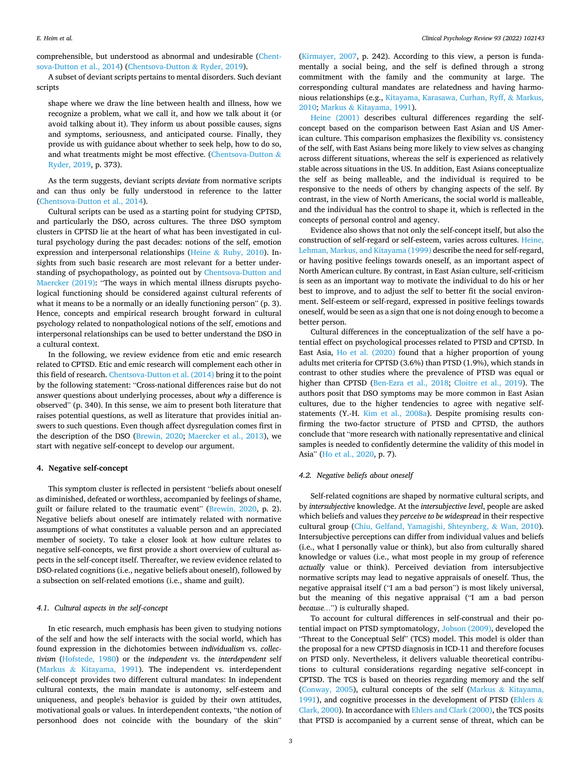comprehensible, but understood as abnormal and undesirable [\(Chent](#page-10-0)[sova-Dutton et al., 2014\)](#page-10-0) [\(Chentsova-Dutton](#page-10-0) & Ryder, 2019).

A subset of deviant scripts pertains to mental disorders. Such deviant scripts

shape where we draw the line between health and illness, how we recognize a problem, what we call it, and how we talk about it (or avoid talking about it). They inform us about possible causes, signs and symptoms, seriousness, and anticipated course. Finally, they provide us with guidance about whether to seek help, how to do so, and what treatments might be most effective. ([Chentsova-Dutton](#page-10-0)  $\&$ [Ryder, 2019](#page-10-0), p. 373).

As the term suggests, deviant scripts *deviate* from normative scripts and can thus only be fully understood in reference to the latter ([Chentsova-Dutton et al., 2014\)](#page-10-0).

Cultural scripts can be used as a starting point for studying CPTSD, and particularly the DSO, across cultures. The three DSO symptom clusters in CPTSD lie at the heart of what has been investigated in cultural psychology during the past decades: notions of the self, emotion expression and interpersonal relationships (Heine & [Ruby, 2010\)](#page-11-0). Insights from such basic research are most relevant for a better understanding of psychopathology, as pointed out by [Chentsova-Dutton and](#page-10-0)  [Maercker \(2019\):](#page-10-0) "The ways in which mental illness disrupts psychological functioning should be considered against cultural referents of what it means to be a normally or an ideally functioning person" (p. 3). Hence, concepts and empirical research brought forward in cultural psychology related to nonpathological notions of the self, emotions and interpersonal relationships can be used to better understand the DSO in a cultural context.

In the following, we review evidence from etic and emic research related to CPTSD. Etic and emic research will complement each other in this field of research. [Chentsova-Dutton et al. \(2014\)](#page-10-0) bring it to the point by the following statement: "Cross-national differences raise but do not answer questions about underlying processes, about *why* a difference is observed" (p. 340). In this sense, we aim to present both literature that raises potential questions, as well as literature that provides initial answers to such questions. Even though affect dysregulation comes first in the description of the DSO ([Brewin, 2020;](#page-10-0) [Maercker et al., 2013](#page-12-0)), we start with negative self-concept to develop our argument.

#### **4. Negative self-concept**

This symptom cluster is reflected in persistent "beliefs about oneself as diminished, defeated or worthless, accompanied by feelings of shame, guilt or failure related to the traumatic event" ([Brewin, 2020](#page-10-0), p. 2). Negative beliefs about oneself are intimately related with normative assumptions of what constitutes a valuable person and an appreciated member of society. To take a closer look at how culture relates to negative self-concepts, we first provide a short overview of cultural aspects in the self-concept itself. Thereafter, we review evidence related to DSO-related cognitions (i.e., negative beliefs about oneself), followed by a subsection on self-related emotions (i.e., shame and guilt).

## *4.1. Cultural aspects in the self-concept*

In etic research, much emphasis has been given to studying notions of the self and how the self interacts with the social world, which has found expression in the dichotomies between *individualism* vs. *collectivism* ([Hofstede, 1980\)](#page-11-0) or the *independent* vs. the *interdependent* self (Markus & [Kitayama, 1991](#page-12-0)). The independent vs. interdependent self-concept provides two different cultural mandates: In independent cultural contexts, the main mandate is autonomy, self-esteem and uniqueness, and people's behavior is guided by their own attitudes, motivational goals or values. In interdependent contexts, "the notion of personhood does not coincide with the boundary of the skin"

([Kirmayer, 2007,](#page-11-0) p. 242). According to this view, a person is fundamentally a social being, and the self is defined through a strong commitment with the family and the community at large. The corresponding cultural mandates are relatedness and having harmonious relationships (e.g., [Kitayama, Karasawa, Curhan, Ryff,](#page-11-0) & Markus, [2010;](#page-11-0) Markus & [Kitayama, 1991](#page-12-0)).

[Heine \(2001\)](#page-11-0) describes cultural differences regarding the selfconcept based on the comparison between East Asian and US American culture. This comparison emphasizes the flexibility vs. consistency of the self, with East Asians being more likely to view selves as changing across different situations, whereas the self is experienced as relatively stable across situations in the US. In addition, East Asians conceptualize the self as being malleable, and the individual is required to be responsive to the needs of others by changing aspects of the self. By contrast, in the view of North Americans, the social world is malleable, and the individual has the control to shape it, which is reflected in the concepts of personal control and agency.

Evidence also shows that not only the self-concept itself, but also the construction of self-regard or self-esteem, varies across cultures. [Heine,](#page-11-0)  [Lehman, Markus, and Kitayama \(1999\)](#page-11-0) describe the need for self-regard, or having positive feelings towards oneself, as an important aspect of North American culture. By contrast, in East Asian culture, self-criticism is seen as an important way to motivate the individual to do his or her best to improve, and to adjust the self to better fit the social environment. Self-esteem or self-regard, expressed in positive feelings towards oneself, would be seen as a sign that one is not doing enough to become a better person.

Cultural differences in the conceptualization of the self have a potential effect on psychological processes related to PTSD and CPTSD. In East Asia, [Ho et al. \(2020\)](#page-11-0) found that a higher proportion of young adults met criteria for CPTSD (3.6%) than PTSD (1.9%), which stands in contrast to other studies where the prevalence of PTSD was equal or higher than CPTSD ([Ben-Ezra et al., 2018](#page-10-0); [Cloitre et al., 2019\)](#page-10-0). The authors posit that DSO symptoms may be more common in East Asian cultures, due to the higher tendencies to agree with negative selfstatements (Y.-H. [Kim et al., 2008a\)](#page-11-0). Despite promising results confirming the two-factor structure of PTSD and CPTSD, the authors conclude that "more research with nationally representative and clinical samples is needed to confidently determine the validity of this model in Asia" ([Ho et al., 2020](#page-11-0), p. 7).

## *4.2. Negative beliefs about oneself*

Self-related cognitions are shaped by normative cultural scripts, and by *intersubjective* knowledge. At the *intersubjective level*, people are asked which beliefs and values they *perceive to be widespread* in their respective cultural group [\(Chiu, Gelfand, Yamagishi, Shteynberg,](#page-10-0) & Wan, 2010). Intersubjective perceptions can differ from individual values and beliefs (i.e., what I personally value or think), but also from culturally shared knowledge or values (i.e., what most people in my group of reference *actually* value or think). Perceived deviation from intersubjective normative scripts may lead to negative appraisals of oneself. Thus, the negative appraisal itself ("I am a bad person") is most likely universal, but the meaning of this negative appraisal ("I am a bad person *because…*") is culturally shaped.

To account for cultural differences in self-construal and their potential impact on PTSD symptomatology, [Jobson \(2009\),](#page-11-0) developed the "Threat to the Conceptual Self" (TCS) model. This model is older than the proposal for a new CPTSD diagnosis in ICD-11 and therefore focuses on PTSD only. Nevertheless, it delivers valuable theoretical contributions to cultural considerations regarding negative self-concept in CPTSD. The TCS is based on theories regarding memory and the self ([Conway, 2005](#page-10-0)), cultural concepts of the self (Markus & [Kitayama,](#page-12-0)  [1991\)](#page-12-0), and cognitive processes in the development of PTSD ([Ehlers](#page-10-0)  $\&$ [Clark, 2000](#page-10-0)). In accordance with [Ehlers and Clark \(2000\),](#page-10-0) the TCS posits that PTSD is accompanied by a current sense of threat, which can be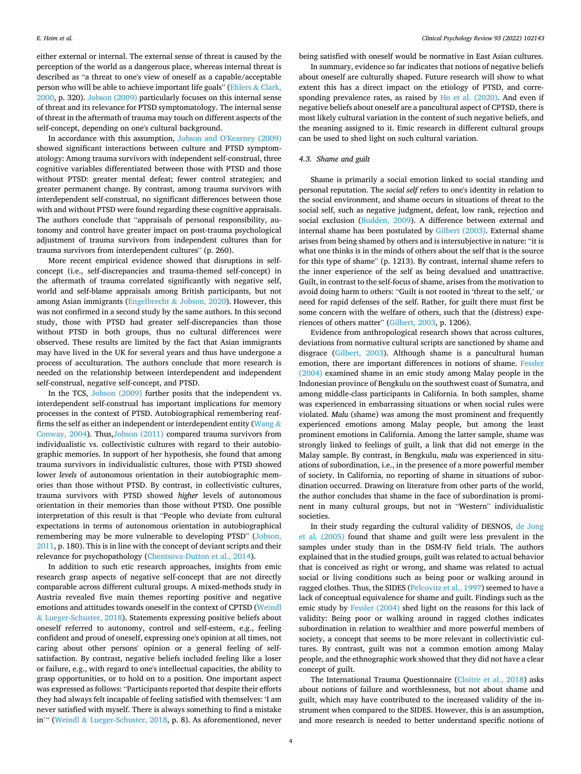either external or internal. The external sense of threat is caused by the perception of the world as a dangerous place, whereas internal threat is described as "a threat to one's view of oneself as a capable/acceptable person who will be able to achieve important life goals" [\(Ehlers](#page-10-0) & Clark, [2000,](#page-10-0) p. 320). [Jobson \(2009\)](#page-11-0) particularly focuses on this internal sense of threat and its relevance for PTSD symptomatology. The internal sense of threat in the aftermath of trauma may touch on different aspects of the self-concept, depending on one's cultural background.

In accordance with this assumption, [Jobson and O'Kearney \(2009\)](#page-11-0)  showed significant interactions between culture and PTSD symptomatology: Among trauma survivors with independent self-construal, three cognitive variables differentiated between those with PTSD and those without PTSD: greater mental defeat; fewer control strategies; and greater permanent change. By contrast, among trauma survivors with interdependent self-construal, no significant differences between those with and without PTSD were found regarding these cognitive appraisals. The authors conclude that "appraisals of personal responsibility, autonomy and control have greater impact on post-trauma psychological adjustment of trauma survivors from independent cultures than for trauma survivors from interdependent cultures" (p. 260).

More recent empirical evidence showed that disruptions in selfconcept (i.e., self-discrepancies and trauma-themed self-concept) in the aftermath of trauma correlated significantly with negative self, world and self-blame appraisals among British participants, but not among Asian immigrants (Engelbrecht & [Jobson, 2020\)](#page-10-0). However, this was not confirmed in a second study by the same authors. In this second study, those with PTSD had greater self-discrepancies than those without PTSD in both groups, thus no cultural differences were observed. These results are limited by the fact that Asian immigrants may have lived in the UK for several years and thus have undergone a process of acculturation. The authors conclude that more research is needed on the relationship between interdependent and independent self-construal, negative self-concept, and PTSD.

In the TCS, [Jobson \(2009\)](#page-11-0) further posits that the independent vs. interdependent self-construal has important implications for memory processes in the context of PTSD. Autobiographical remembering reaf-firms the self as either an independent or interdependent entity ([Wang](#page-12-0)  $\&$ [Conway, 2004](#page-12-0)). Thus[,Jobson \(2011\)](#page-11-0) compared trauma survivors from individualistic vs. collectivistic cultures with regard to their autobiographic memories. In support of her hypothesis, she found that among trauma survivors in individualistic cultures, those with PTSD showed lower *levels* of autonomous orientation in their autobiographic memories than those without PTSD. By contrast, in collectivistic cultures, trauma survivors with PTSD showed *higher* levels of autonomous orientation in their memories than those without PTSD. One possible interpretation of this result is that "People who deviate from cultural expectations in terms of autonomous orientation in autobiographical remembering may be more vulnerable to developing PTSD" ([Jobson,](#page-11-0)  [2011,](#page-11-0) p. 180). This is in line with the concept of deviant scripts and their relevance for psychopathology [\(Chentsova-Dutton et al., 2014](#page-10-0)).

In addition to such etic research approaches, insights from emic research grasp aspects of negative self-concept that are not directly comparable across different cultural groups. A mixed-methods study in Austria revealed five main themes reporting positive and negative emotions and attitudes towards oneself in the context of CPTSD ([Weindl](#page-13-0)  & [Lueger-Schuster, 2018](#page-13-0)). Statements expressing positive beliefs about oneself referred to autonomy, control and self-esteem, e.g., feeling confident and proud of oneself, expressing one's opinion at all times, not caring about other persons' opinion or a general feeling of selfsatisfaction. By contrast, negative beliefs included feeling like a loser or failure, e.g., with regard to one's intellectual capacities, the ability to grasp opportunities, or to hold on to a position. One important aspect was expressed as follows: "Participants reported that despite their efforts they had always felt incapable of feeling satisfied with themselves: 'I am never satisfied with myself. There is always something to find a mistake in'" (Weindl & [Lueger-Schuster, 2018,](#page-13-0) p. 8). As aforementioned, never

being satisfied with oneself would be normative in East Asian cultures.

In summary, evidence so far indicates that notions of negative beliefs about oneself are culturally shaped. Future research will show to what extent this has a direct impact on the etiology of PTSD, and corresponding prevalence rates, as raised by [Ho et al. \(2020\)](#page-11-0). And even if negative beliefs about oneself are a pancultural aspect of CPTSD, there is most likely cultural variation in the content of such negative beliefs, and the meaning assigned to it. Emic research in different cultural groups can be used to shed light on such cultural variation.

# *4.3. Shame and guilt*

Shame is primarily a social emotion linked to social standing and personal reputation. The *social self* refers to one's identity in relation to the social environment, and shame occurs in situations of threat to the social self, such as negative judgment, defeat, low rank, rejection and social exclusion [\(Budden, 2009](#page-10-0)). A difference between external and internal shame has been postulated by [Gilbert \(2003\)](#page-11-0). External shame arises from being shamed by others and is intersubjective in nature: "it is what one thinks is in the minds of others about the self that is the source for this type of shame" (p. 1213). By contrast, internal shame refers to the inner experience of the self as being devalued and unattractive. Guilt, in contrast to the self-focus of shame, arises from the motivation to avoid doing harm to others: "Guilt is not rooted in 'threat to the self,' or need for rapid defenses of the self. Rather, for guilt there must first be some concern with the welfare of others, such that the (distress) experiences of others matter" [\(Gilbert, 2003,](#page-11-0) p. 1206).

Evidence from anthropological research shows that across cultures, deviations from normative cultural scripts are sanctioned by shame and disgrace ([Gilbert, 2003](#page-11-0)). Although shame is a pancultural human emotion, there are important differences in notions of shame. [Fessler](#page-11-0)  [\(2004\)](#page-11-0) examined shame in an emic study among Malay people in the Indonesian province of Bengkulu on the southwest coast of Sumatra, and among middle-class participants in California. In both samples, shame was experienced in embarrassing situations or when social rules were violated. *Malu* (shame) was among the most prominent and frequently experienced emotions among Malay people, but among the least prominent emotions in California. Among the latter sample, shame was strongly linked to feelings of guilt, a link that did not emerge in the Malay sample. By contrast, in Bengkulu, *malu* was experienced in situations of subordination, i.e., in the presence of a more powerful member of society. In California, no reporting of shame in situations of subordination occurred. Drawing on literature from other parts of the world, the author concludes that shame in the face of subordination is prominent in many cultural groups, but not in "Western" individualistic societies.

In their study regarding the cultural validity of DESNOS, [de Jong](#page-11-0)  [et al. \(2005\)](#page-11-0) found that shame and guilt were less prevalent in the samples under study than in the DSM-IV field trials. The authors explained that in the studied groups, guilt was related to actual behavior that is conceived as right or wrong, and shame was related to actual social or living conditions such as being poor or walking around in ragged clothes. Thus, the SIDES ([Pelcovitz et al., 1997\)](#page-12-0) seemed to have a lack of conceptual equivalence for shame and guilt. Findings such as the emic study by [Fessler \(2004\)](#page-11-0) shed light on the reasons for this lack of validity: Being poor or walking around in ragged clothes indicates subordination in relation to wealthier and more powerful members of society, a concept that seems to be more relevant in collectivistic cultures. By contrast, guilt was not a common emotion among Malay people, and the ethnographic work showed that they did not have a clear concept of guilt.

The International Trauma Questionnaire [\(Cloitre et al., 2018](#page-10-0)) asks about notions of failure and worthlessness, but not about shame and guilt, which may have contributed to the increased validity of the instrument when compared to the SIDES. However, this is an assumption, and more research is needed to better understand specific notions of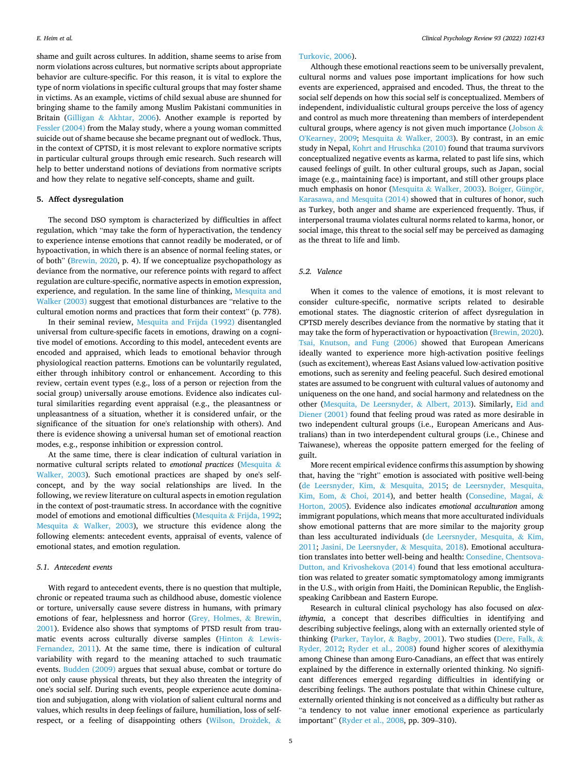shame and guilt across cultures. In addition, shame seems to arise from norm violations across cultures, but normative scripts about appropriate behavior are culture-specific. For this reason, it is vital to explore the type of norm violations in specific cultural groups that may foster shame in victims. As an example, victims of child sexual abuse are shunned for bringing shame to the family among Muslim Pakistani communities in Britain (Gilligan & [Akhtar, 2006\)](#page-11-0). Another example is reported by [Fessler \(2004\)](#page-11-0) from the Malay study, where a young woman committed suicide out of shame because she became pregnant out of wedlock. Thus, in the context of CPTSD, it is most relevant to explore normative scripts in particular cultural groups through emic research. Such research will help to better understand notions of deviations from normative scripts and how they relate to negative self-concepts, shame and guilt.

#### **5. Affect dysregulation**

The second DSO symptom is characterized by difficulties in affect regulation, which "may take the form of hyperactivation, the tendency to experience intense emotions that cannot readily be moderated, or of hypoactivation, in which there is an absence of normal feeling states, or of both" ([Brewin, 2020](#page-10-0), p. 4). If we conceptualize psychopathology as deviance from the normative, our reference points with regard to affect regulation are culture-specific, normative aspects in emotion expression, experience, and regulation. In the same line of thinking, [Mesquita and](#page-12-0)  [Walker \(2003\)](#page-12-0) suggest that emotional disturbances are "relative to the cultural emotion norms and practices that form their context" (p. 778).

In their seminal review, [Mesquita and Frijda \(1992\)](#page-12-0) disentangled universal from culture-specific facets in emotions, drawing on a cognitive model of emotions. According to this model, antecedent events are encoded and appraised, which leads to emotional behavior through physiological reaction patterns. Emotions can be voluntarily regulated, either through inhibitory control or enhancement. According to this review, certain event types (e.g., loss of a person or rejection from the social group) universally arouse emotions. Evidence also indicates cultural similarities regarding event appraisal (e.g., the pleasantness or unpleasantness of a situation, whether it is considered unfair, or the significance of the situation for one's relationship with others). And there is evidence showing a universal human set of emotional reaction modes, e.g., response inhibition or expression control.

At the same time, there is clear indication of cultural variation in normative cultural scripts related to *emotional practices* ([Mesquita](#page-12-0) & [Walker, 2003](#page-12-0)). Such emotional practices are shaped by one's selfconcept, and by the way social relationships are lived. In the following, we review literature on cultural aspects in emotion regulation in the context of post-traumatic stress. In accordance with the cognitive model of emotions and emotional difficulties (Mesquita & [Frijda, 1992](#page-12-0); Mesquita & [Walker, 2003\)](#page-12-0), we structure this evidence along the following elements: antecedent events, appraisal of events, valence of emotional states, and emotion regulation.

# *5.1. Antecedent events*

With regard to antecedent events, there is no question that multiple, chronic or repeated trauma such as childhood abuse, domestic violence or torture, universally cause severe distress in humans, with primary emotions of fear, helplessness and horror [\(Grey, Holmes,](#page-11-0) & Brewin, [2001\)](#page-11-0). Evidence also shows that symptoms of PTSD result from traumatic events across culturally diverse samples ([Hinton](#page-11-0) & Lewis-[Fernandez, 2011](#page-11-0)). At the same time, there is indication of cultural variability with regard to the meaning attached to such traumatic events. [Budden \(2009\)](#page-10-0) argues that sexual abuse, combat or torture do not only cause physical threats, but they also threaten the integrity of one's social self. During such events, people experience acute domination and subjugation, along with violation of salient cultural norms and values, which results in deep feelings of failure, humiliation, loss of self-respect, or a feeling of disappointing others ([Wilson, Dro](#page-13-0)ždek, &

#### [Turkovic, 2006\)](#page-13-0).

Although these emotional reactions seem to be universally prevalent, cultural norms and values pose important implications for how such events are experienced, appraised and encoded. Thus, the threat to the social self depends on how this social self is conceptualized. Members of independent, individualistic cultural groups perceive the loss of agency and control as much more threatening than members of interdependent cultural groups, where agency is not given much importance ([Jobson](#page-11-0)  $\&$ [O'Kearney, 2009;](#page-11-0) Mesquita & [Walker, 2003\)](#page-12-0). By contrast, in an emic study in Nepal, [Kohrt and Hruschka \(2010\)](#page-12-0) found that trauma survivors conceptualized negative events as karma, related to past life sins, which caused feelings of guilt. In other cultural groups, such as Japan, social image (e.g., maintaining face) is important, and still other groups place much emphasis on honor (Mesquita & [Walker, 2003\)](#page-12-0). Boiger, Güngör, [Karasawa, and Mesquita \(2014\)](#page-10-0) showed that in cultures of honor, such as Turkey, both anger and shame are experienced frequently. Thus, if interpersonal trauma violates cultural norms related to karma, honor, or social image, this threat to the social self may be perceived as damaging as the threat to life and limb.

#### *5.2. Valence*

When it comes to the valence of emotions, it is most relevant to consider culture-specific, normative scripts related to desirable emotional states. The diagnostic criterion of affect dysregulation in CPTSD merely describes deviance from the normative by stating that it may take the form of hyperactivation or hypoactivation [\(Brewin, 2020](#page-10-0)). [Tsai, Knutson, and Fung \(2006\)](#page-12-0) showed that European Americans ideally wanted to experience more high-activation positive feelings (such as excitement), whereas East Asians valued low-activation positive emotions, such as serenity and feeling peaceful. Such desired emotional states are assumed to be congruent with cultural values of autonomy and uniqueness on the one hand, and social harmony and relatedness on the other ([Mesquita, De Leersnyder,](#page-12-0) & Albert, 2013). Similarly, [Eid and](#page-10-0)  [Diener \(2001\)](#page-10-0) found that feeling proud was rated as more desirable in two independent cultural groups (i.e., European Americans and Australians) than in two interdependent cultural groups (i.e., Chinese and Taiwanese), whereas the opposite pattern emerged for the feeling of guilt.

More recent empirical evidence confirms this assumption by showing that, having the "right" emotion is associated with positive well-being ([de Leersnyder, Kim,](#page-12-0) & Mesquita, 2015; [de Leersnyder, Mesquita,](#page-12-0)  [Kim, Eom,](#page-12-0) & Choi, 2014), and better health ([Consedine, Magai,](#page-10-0) & [Horton, 2005](#page-10-0)). Evidence also indicates *emotional acculturation* among immigrant populations, which means that more acculturated individuals show emotional patterns that are more similar to the majority group than less acculturated individuals [\(de Leersnyder, Mesquita,](#page-12-0) & Kim, [2011;](#page-12-0) [Jasini, De Leersnyder,](#page-11-0) & Mesquita, 2018). Emotional acculturation translates into better well-being and health: [Consedine, Chentsova-](#page-10-0)[Dutton, and Krivoshekova \(2014\)](#page-10-0) found that less emotional acculturation was related to greater somatic symptomatology among immigrants in the U.S., with origin from Haiti, the Dominican Republic, the Englishspeaking Caribbean and Eastern Europe.

Research in cultural clinical psychology has also focused on *alexithymia*, a concept that describes difficulties in identifying and describing subjective feelings, along with an externally oriented style of thinking [\(Parker, Taylor,](#page-12-0) & Bagby, 2001). Two studies ([Dere, Falk,](#page-10-0) & [Ryder, 2012](#page-10-0); [Ryder et al., 2008\)](#page-12-0) found higher scores of alexithymia among Chinese than among Euro-Canadians, an effect that was entirely explained by the difference in externally oriented thinking. No significant differences emerged regarding difficulties in identifying or describing feelings. The authors postulate that within Chinese culture, externally oriented thinking is not conceived as a difficulty but rather as "a tendency to not value inner emotional experience as particularly important" ([Ryder et al., 2008](#page-12-0), pp. 309–310).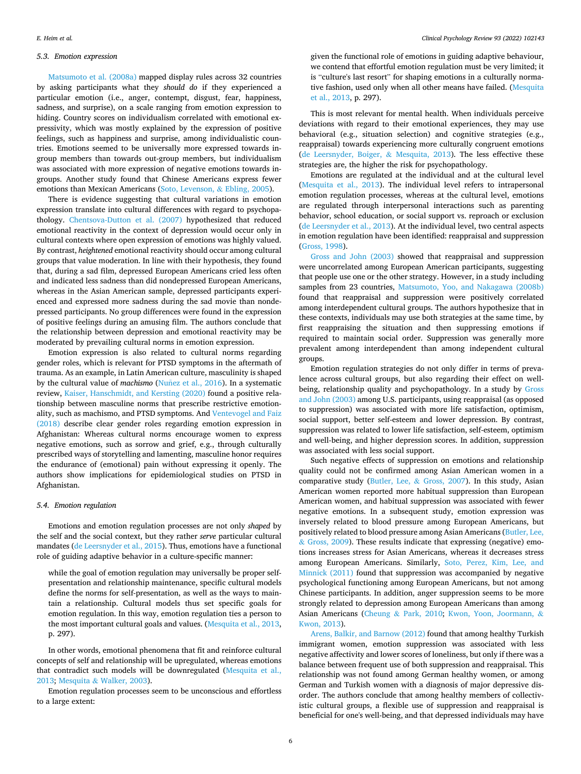#### *5.3. Emotion expression*

[Matsumoto et al. \(2008a\)](#page-12-0) mapped display rules across 32 countries by asking participants what they *should do* if they experienced a particular emotion (i.e., anger, contempt, disgust, fear, happiness, sadness, and surprise), on a scale ranging from emotion expression to hiding. Country scores on individualism correlated with emotional expressivity, which was mostly explained by the expression of positive feelings, such as happiness and surprise, among individualistic countries. Emotions seemed to be universally more expressed towards ingroup members than towards out-group members, but individualism was associated with more expression of negative emotions towards ingroups. Another study found that Chinese Americans express fewer emotions than Mexican Americans ([Soto, Levenson,](#page-12-0) & Ebling, 2005).

There is evidence suggesting that cultural variations in emotion expression translate into cultural differences with regard to psychopathology. [Chentsova-Dutton et al. \(2007\)](#page-10-0) hypothesized that reduced emotional reactivity in the context of depression would occur only in cultural contexts where open expression of emotions was highly valued. By contrast, *heightened* emotional reactivity should occur among cultural groups that value moderation. In line with their hypothesis, they found that, during a sad film, depressed European Americans cried less often and indicated less sadness than did nondepressed European Americans, whereas in the Asian American sample, depressed participants experienced and expressed more sadness during the sad movie than nondepressed participants. No group differences were found in the expression of positive feelings during an amusing film. The authors conclude that the relationship between depression and emotional reactivity may be moderated by prevailing cultural norms in emotion expression.

Emotion expression is also related to cultural norms regarding gender roles, which is relevant for PTSD symptoms in the aftermath of trauma. As an example, in Latin American culture, masculinity is shaped by the cultural value of *machismo* (Nuñez [et al., 2016\)](#page-12-0). In a systematic review, [Kaiser, Hanschmidt, and Kersting \(2020\)](#page-11-0) found a positive relationship between masculine norms that prescribe restrictive emotionality, such as machismo, and PTSD symptoms. And [Ventevogel and Faiz](#page-12-0)  [\(2018\)](#page-12-0) describe clear gender roles regarding emotion expression in Afghanistan: Whereas cultural norms encourage women to express negative emotions, such as sorrow and grief, e.g., through culturally prescribed ways of storytelling and lamenting, masculine honor requires the endurance of (emotional) pain without expressing it openly. The authors show implications for epidemiological studies on PTSD in Afghanistan.

#### *5.4. Emotion regulation*

Emotions and emotion regulation processes are not only *shaped* by the self and the social context, but they rather *serve* particular cultural mandates [\(de Leersnyder et al., 2015](#page-12-0)). Thus, emotions have a functional role of guiding adaptive behavior in a culture-specific manner:

while the goal of emotion regulation may universally be proper selfpresentation and relationship maintenance, specific cultural models define the norms for self-presentation, as well as the ways to maintain a relationship. Cultural models thus set specific goals for emotion regulation. In this way, emotion regulation ties a person to the most important cultural goals and values. ([Mesquita et al., 2013](#page-12-0), p. 297).

In other words, emotional phenomena that fit and reinforce cultural concepts of self and relationship will be upregulated, whereas emotions that contradict such models will be downregulated ([Mesquita et al.,](#page-12-0)  [2013;](#page-12-0) Mesquita & [Walker, 2003](#page-12-0)).

Emotion regulation processes seem to be unconscious and effortless to a large extent:

given the functional role of emotions in guiding adaptive behaviour, we contend that effortful emotion regulation must be very limited; it is "culture's last resort" for shaping emotions in a culturally normative fashion, used only when all other means have failed. [\(Mesquita](#page-12-0)  [et al., 2013,](#page-12-0) p. 297).

This is most relevant for mental health. When individuals perceive deviations with regard to their emotional experiences, they may use behavioral (e.g., situation selection) and cognitive strategies (e.g., reappraisal) towards experiencing more culturally congruent emotions ([de Leersnyder, Boiger,](#page-12-0) & Mesquita, 2013). The less effective these strategies are, the higher the risk for psychopathology.

Emotions are regulated at the individual and at the cultural level ([Mesquita et al., 2013](#page-12-0)). The individual level refers to intrapersonal emotion regulation processes, whereas at the cultural level, emotions are regulated through interpersonal interactions such as parenting behavior, school education, or social support vs. reproach or exclusion ([de Leersnyder et al., 2013\)](#page-12-0). At the individual level, two central aspects in emotion regulation have been identified: reappraisal and suppression ([Gross, 1998](#page-11-0)).

[Gross and John \(2003\)](#page-11-0) showed that reappraisal and suppression were uncorrelated among European American participants, suggesting that people use one or the other strategy. However, in a study including samples from 23 countries, [Matsumoto, Yoo, and Nakagawa \(2008b\)](#page-12-0)  found that reappraisal and suppression were positively correlated among interdependent cultural groups. The authors hypothesize that in these contexts, individuals may use both strategies at the same time, by first reappraising the situation and then suppressing emotions if required to maintain social order. Suppression was generally more prevalent among interdependent than among independent cultural groups.

Emotion regulation strategies do not only differ in terms of prevalence across cultural groups, but also regarding their effect on wellbeing, relationship quality and psychopathology. In a study by [Gross](#page-11-0)  [and John \(2003\)](#page-11-0) among U.S. participants, using reappraisal (as opposed to suppression) was associated with more life satisfaction, optimism, social support, better self-esteem and lower depression. By contrast, suppression was related to lower life satisfaction, self-esteem, optimism and well-being, and higher depression scores. In addition, suppression was associated with less social support.

Such negative effects of suppression on emotions and relationship quality could not be confirmed among Asian American women in a comparative study ([Butler, Lee,](#page-10-0) & Gross, 2007). In this study, Asian American women reported more habitual suppression than European American women, and habitual suppression was associated with fewer negative emotions. In a subsequent study, emotion expression was inversely related to blood pressure among European Americans, but positively related to blood pressure among Asian Americans [\(Butler, Lee,](#page-10-0)  & [Gross, 2009\)](#page-10-0). These results indicate that expressing (negative) emotions increases stress for Asian Americans, whereas it decreases stress among European Americans. Similarly, [Soto, Perez, Kim, Lee, and](#page-12-0)  [Minnick \(2011\)](#page-12-0) found that suppression was accompanied by negative psychological functioning among European Americans, but not among Chinese participants. In addition, anger suppression seems to be more strongly related to depression among European Americans than among Asian Americans (Cheung & [Park, 2010;](#page-10-0) [Kwon, Yoon, Joormann,](#page-12-0) & [Kwon, 2013](#page-12-0)).

[Arens, Balkir, and Barnow \(2012\)](#page-10-0) found that among healthy Turkish immigrant women, emotion suppression was associated with less negative affectivity and lower scores of loneliness, but only if there was a balance between frequent use of both suppression and reappraisal. This relationship was not found among German healthy women, or among German and Turkish women with a diagnosis of major depressive disorder. The authors conclude that among healthy members of collectivistic cultural groups, a flexible use of suppression and reappraisal is beneficial for one's well-being, and that depressed individuals may have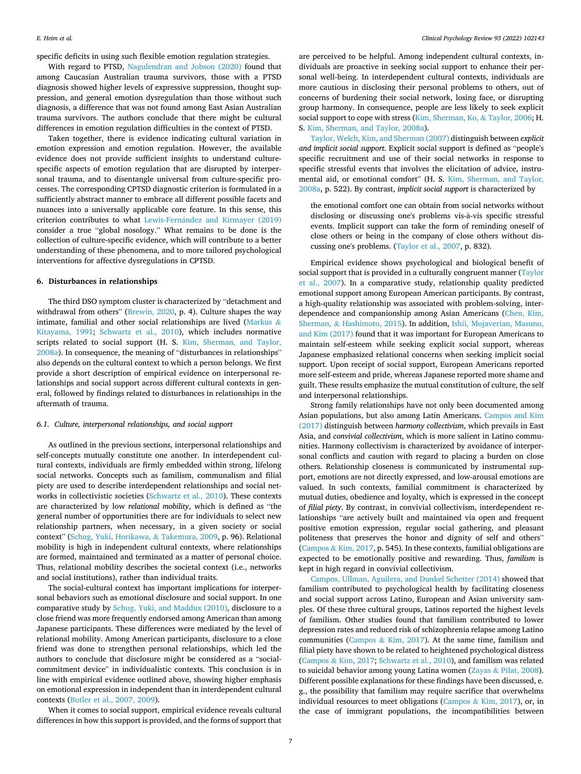specific deficits in using such flexible emotion regulation strategies.

With regard to PTSD, [Nagulendran and Jobson \(2020\)](#page-12-0) found that among Caucasian Australian trauma survivors, those with a PTSD diagnosis showed higher levels of expressive suppression, thought suppression, and general emotion dysregulation than those without such diagnosis, a difference that was not found among East Asian Australian trauma survivors. The authors conclude that there might be cultural differences in emotion regulation difficulties in the context of PTSD.

Taken together, there is evidence indicating cultural variation in emotion expression and emotion regulation. However, the available evidence does not provide sufficient insights to understand culturespecific aspects of emotion regulation that are disrupted by interpersonal trauma, and to disentangle universal from culture-specific processes. The corresponding CPTSD diagnostic criterion is formulated in a sufficiently abstract manner to embrace all different possible facets and nuances into a universally applicable core feature. In this sense, this criterion contributes to what Lewis-Fernández and Kirmayer (2019) consider a true "global nosology." What remains to be done is the collection of culture-specific evidence, which will contribute to a better understanding of these phenomena, and to more tailored psychological interventions for affective dysregulations in CPTSD.

# **6. Disturbances in relationships**

The third DSO symptom cluster is characterized by "detachment and withdrawal from others" [\(Brewin, 2020,](#page-10-0) p. 4). Culture shapes the way intimate, familial and other social relationships are lived ([Markus](#page-12-0)  $\&$ [Kitayama, 1991;](#page-12-0) [Schwartz et al., 2010](#page-12-0)), which includes normative scripts related to social support (H. S. [Kim, Sherman, and Taylor,](#page-11-0)  [2008a\)](#page-11-0). In consequence, the meaning of "disturbances in relationships" also depends on the cultural context to which a person belongs. We first provide a short description of empirical evidence on interpersonal relationships and social support across different cultural contexts in general, followed by findings related to disturbances in relationships in the aftermath of trauma.

#### *6.1. Culture, interpersonal relationships, and social support*

As outlined in the previous sections, interpersonal relationships and self-concepts mutually constitute one another. In interdependent cultural contexts, individuals are firmly embedded within strong, lifelong social networks. Concepts such as familism, communalism and filial piety are used to describe interdependent relationships and social networks in collectivistic societies [\(Schwartz et al., 2010\)](#page-12-0). These contexts are characterized by low *relational mobility*, which is defined as "the general number of opportunities there are for individuals to select new relationship partners, when necessary, in a given society or social context" [\(Schug, Yuki, Horikawa,](#page-12-0) & Takemura, 2009, p. 96). Relational mobility is high in independent cultural contexts, where relationships are formed, maintained and terminated as a matter of personal choice. Thus, relational mobility describes the societal context (i.e., networks and social institutions), rather than individual traits.

The social-cultural context has important implications for interpersonal behaviors such as emotional disclosure and social support. In one comparative study by [Schug, Yuki, and Maddux \(2010\)](#page-12-0), disclosure to a close friend was more frequently endorsed among American than among Japanese participants. These differences were mediated by the level of relational mobility. Among American participants, disclosure to a close friend was done to strengthen personal relationships, which led the authors to conclude that disclosure might be considered as a "socialcommitment device" in individualistic contexts. This conclusion is in line with empirical evidence outlined above, showing higher emphasis on emotional expression in independent than in interdependent cultural contexts [\(Butler et al., 2007, 2009\)](#page-10-0).

When it comes to social support, empirical evidence reveals cultural differences in how this support is provided, and the forms of support that

are perceived to be helpful. Among independent cultural contexts, individuals are proactive in seeking social support to enhance their personal well-being. In interdependent cultural contexts, individuals are more cautious in disclosing their personal problems to others, out of concerns of burdening their social network, losing face, or disrupting group harmony. In consequence, people are less likely to seek explicit social support to cope with stress ([Kim, Sherman, Ko,](#page-11-0) & Taylor, 2006; H. S. [Kim, Sherman, and Taylor, 2008a\)](#page-11-0).

[Taylor, Welch, Kim, and Sherman \(2007\)](#page-12-0) distinguish between *explicit and implicit social support*. Explicit social support is defined as "people's specific recruitment and use of their social networks in response to specific stressful events that involves the elicitation of advice, instrumental aid, or emotional comfort" (H. S. [Kim, Sherman, and Taylor,](#page-11-0)  [2008a,](#page-11-0) p. 522). By contrast, *implicit social support* is characterized by

the emotional comfort one can obtain from social networks without disclosing or discussing one's problems vis-à-vis specific stressful events. Implicit support can take the form of reminding oneself of close others or being in the company of close others without discussing one's problems. [\(Taylor et al., 2007,](#page-12-0) p. 832).

Empirical evidence shows psychological and biological benefit of social support that is provided in a culturally congruent manner (Taylor [et al., 2007\)](#page-12-0). In a comparative study, relationship quality predicted emotional support among European American participants. By contrast, a high-quality relationship was associated with problem-solving, interdependence and companionship among Asian Americans ([Chen, Kim,](#page-10-0)  Sherman, & [Hashimoto, 2015\)](#page-10-0). In addition, [Ishii, Mojaverian, Masuno,](#page-11-0)  [and Kim \(2017\)](#page-11-0) found that it was important for European Americans to maintain self-esteem while seeking explicit social support, whereas Japanese emphasized relational concerns when seeking implicit social support. Upon receipt of social support, European Americans reported more self-esteem and pride, whereas Japanese reported more shame and guilt. These results emphasize the mutual constitution of culture, the self and interpersonal relationships.

Strong family relationships have not only been documented among Asian populations, but also among Latin Americans. [Campos and Kim](#page-10-0)  [\(2017\)](#page-10-0) distinguish between *harmony collectivism*, which prevails in East Asia, and *convivial collectivism*, which is more salient in Latino communities. Harmony collectivism is characterized by avoidance of interpersonal conflicts and caution with regard to placing a burden on close others. Relationship closeness is communicated by instrumental support, emotions are not directly expressed, and low-arousal emotions are valued. In such contexts, familial commitment is characterized by mutual duties, obedience and loyalty, which is expressed in the concept of *filial piety*. By contrast, in convivial collectivism, interdependent relationships "are actively built and maintained via open and frequent positive emotion expression, regular social gathering, and pleasant politeness that preserves the honor and dignity of self and others" (Campos & [Kim, 2017,](#page-10-0) p. 545). In these contexts, familial obligations are expected to be emotionally positive and rewarding. Thus, *familism* is kept in high regard in convivial collectivism.

[Campos, Ullman, Aguilera, and Dunkel Schetter \(2014\)](#page-10-0) showed that familism contributed to psychological health by facilitating closeness and social support across Latino, European and Asian university samples. Of these three cultural groups, Latinos reported the highest levels of familism. Other studies found that familism contributed to lower depression rates and reduced risk of schizophrenia relapse among Latino communities (Campos  $\&$  [Kim, 2017](#page-10-0)). At the same time, familism and filial piety have shown to be related to heightened psychological distress (Campos & [Kim, 2017](#page-10-0); [Schwartz et al., 2010\)](#page-12-0), and familism was related to suicidal behavior among young Latina women (Zayas & [Pilat, 2008](#page-13-0)). Different possible explanations for these findings have been discussed, e. g., the possibility that familism may require sacrifice that overwhelms individual resources to meet obligations (Campos & [Kim, 2017\)](#page-10-0), or, in the case of immigrant populations, the incompatibilities between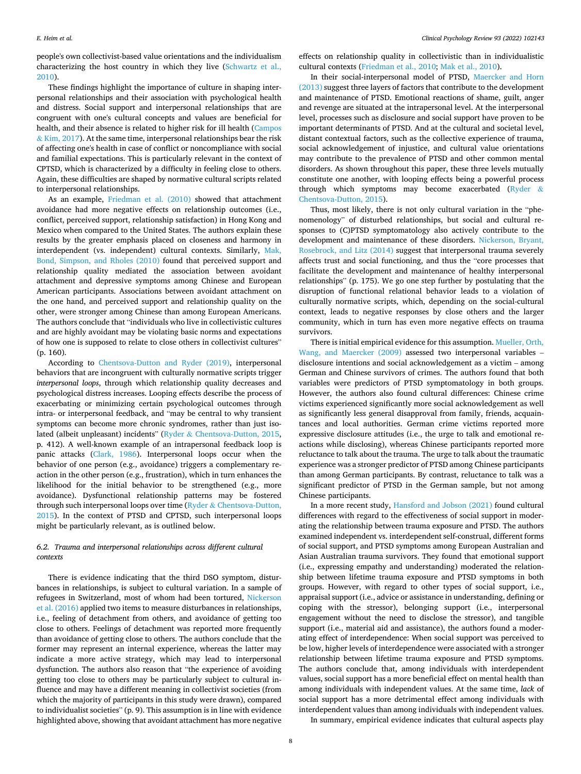people's own collectivist-based value orientations and the individualism characterizing the host country in which they live [\(Schwartz et al.,](#page-12-0)  [2010\)](#page-12-0).

These findings highlight the importance of culture in shaping interpersonal relationships and their association with psychological health and distress. Social support and interpersonal relationships that are congruent with one's cultural concepts and values are beneficial for health, and their absence is related to higher risk for ill health ([Campos](#page-10-0)   $&$  [Kim, 2017\)](#page-10-0). At the same time, interpersonal relationships bear the risk of affecting one's health in case of conflict or noncompliance with social and familial expectations. This is particularly relevant in the context of CPTSD, which is characterized by a difficulty in feeling close to others. Again, these difficulties are shaped by normative cultural scripts related to interpersonal relationships.

As an example, [Friedman et al. \(2010\)](#page-11-0) showed that attachment avoidance had more negative effects on relationship outcomes (i.e., conflict, perceived support, relationship satisfaction) in Hong Kong and Mexico when compared to the United States. The authors explain these results by the greater emphasis placed on closeness and harmony in interdependent (vs. independent) cultural contexts. Similarly, [Mak,](#page-12-0)  [Bond, Simpson, and Rholes \(2010\)](#page-12-0) found that perceived support and relationship quality mediated the association between avoidant attachment and depressive symptoms among Chinese and European American participants. Associations between avoidant attachment on the one hand, and perceived support and relationship quality on the other, were stronger among Chinese than among European Americans. The authors conclude that "individuals who live in collectivistic cultures and are highly avoidant may be violating basic norms and expectations of how one is supposed to relate to close others in collectivist cultures" (p. 160).

According to [Chentsova-Dutton and Ryder \(2019\),](#page-10-0) interpersonal behaviors that are incongruent with culturally normative scripts trigger *interpersonal loops*, through which relationship quality decreases and psychological distress increases. Looping effects describe the process of exacerbating or minimizing certain psychological outcomes through intra- or interpersonal feedback, and "may be central to why transient symptoms can become more chronic syndromes, rather than just isolated (albeit unpleasant) incidents" (Ryder & [Chentsova-Dutton, 2015](#page-12-0), p. 412). A well-known example of an intrapersonal feedback loop is panic attacks ([Clark, 1986](#page-10-0)). Interpersonal loops occur when the behavior of one person (e.g., avoidance) triggers a complementary reaction in the other person (e.g., frustration), which in turn enhances the likelihood for the initial behavior to be strengthened (e.g., more avoidance). Dysfunctional relationship patterns may be fostered through such interpersonal loops over time (Ryder & [Chentsova-Dutton,](#page-12-0)  [2015\)](#page-12-0). In the context of PTSD and CPTSD, such interpersonal loops might be particularly relevant, as is outlined below.

# *6.2. Trauma and interpersonal relationships across different cultural contexts*

There is evidence indicating that the third DSO symptom, disturbances in relationships, is subject to cultural variation. In a sample of refugees in Switzerland, most of whom had been tortured, [Nickerson](#page-12-0)  [et al. \(2016\)](#page-12-0) applied two items to measure disturbances in relationships, i.e., feeling of detachment from others, and avoidance of getting too close to others. Feelings of detachment was reported more frequently than avoidance of getting close to others. The authors conclude that the former may represent an internal experience, whereas the latter may indicate a more active strategy, which may lead to interpersonal dysfunction. The authors also reason that "the experience of avoiding getting too close to others may be particularly subject to cultural influence and may have a different meaning in collectivist societies (from which the majority of participants in this study were drawn), compared to individualist societies" (p. 9). This assumption is in line with evidence highlighted above, showing that avoidant attachment has more negative

effects on relationship quality in collectivistic than in individualistic cultural contexts ([Friedman et al., 2010](#page-11-0); [Mak et al., 2010\)](#page-12-0).

In their social-interpersonal model of PTSD, [Maercker and Horn](#page-12-0)  [\(2013\)](#page-12-0) suggest three layers of factors that contribute to the development and maintenance of PTSD. Emotional reactions of shame, guilt, anger and revenge are situated at the intrapersonal level. At the interpersonal level, processes such as disclosure and social support have proven to be important determinants of PTSD. And at the cultural and societal level, distant contextual factors, such as the collective experience of trauma, social acknowledgement of injustice, and cultural value orientations may contribute to the prevalence of PTSD and other common mental disorders. As shown throughout this paper, these three levels mutually constitute one another, with looping effects being a powerful process through which symptoms may become exacerbated [\(Ryder](#page-12-0) & [Chentsova-Dutton, 2015\)](#page-12-0).

Thus, most likely, there is not only cultural variation in the "phenomenology" of disturbed relationships, but social and cultural responses to (C)PTSD symptomatology also actively contribute to the development and maintenance of these disorders. [Nickerson, Bryant,](#page-12-0)  [Rosebrock, and Litz \(2014\)](#page-12-0) suggest that interpersonal trauma severely affects trust and social functioning, and thus the "core processes that facilitate the development and maintenance of healthy interpersonal relationships" (p. 175). We go one step further by postulating that the disruption of functional relational behavior leads to a violation of culturally normative scripts, which, depending on the social-cultural context, leads to negative responses by close others and the larger community, which in turn has even more negative effects on trauma survivors.

There is initial empirical evidence for this assumption. [Mueller, Orth,](#page-12-0)  [Wang, and Maercker \(2009\)](#page-12-0) assessed two interpersonal variables – disclosure intentions and social acknowledgement as a victim – among German and Chinese survivors of crimes. The authors found that both variables were predictors of PTSD symptomatology in both groups. However, the authors also found cultural differences: Chinese crime victims experienced significantly more social acknowledgement as well as significantly less general disapproval from family, friends, acquaintances and local authorities. German crime victims reported more expressive disclosure attitudes (i.e., the urge to talk and emotional reactions while disclosing), whereas Chinese participants reported more reluctance to talk about the trauma. The urge to talk about the traumatic experience was a stronger predictor of PTSD among Chinese participants than among German participants. By contrast, reluctance to talk was a significant predictor of PTSD in the German sample, but not among Chinese participants.

In a more recent study, [Hansford and Jobson \(2021\)](#page-11-0) found cultural differences with regard to the effectiveness of social support in moderating the relationship between trauma exposure and PTSD. The authors examined independent vs. interdependent self-construal, different forms of social support, and PTSD symptoms among European Australian and Asian Australian trauma survivors. They found that emotional support (i.e., expressing empathy and understanding) moderated the relationship between lifetime trauma exposure and PTSD symptoms in both groups. However, with regard to other types of social support, i.e., appraisal support (i.e., advice or assistance in understanding, defining or coping with the stressor), belonging support (i.e., interpersonal engagement without the need to disclose the stressor), and tangible support (i.e., material aid and assistance), the authors found a moderating effect of interdependence: When social support was perceived to be low, higher levels of interdependence were associated with a stronger relationship between lifetime trauma exposure and PTSD symptoms. The authors conclude that, among individuals with interdependent values, social support has a more beneficial effect on mental health than among individuals with independent values. At the same time, *lack* of social support has a more detrimental effect among individuals with interdependent values than among individuals with independent values.

In summary, empirical evidence indicates that cultural aspects play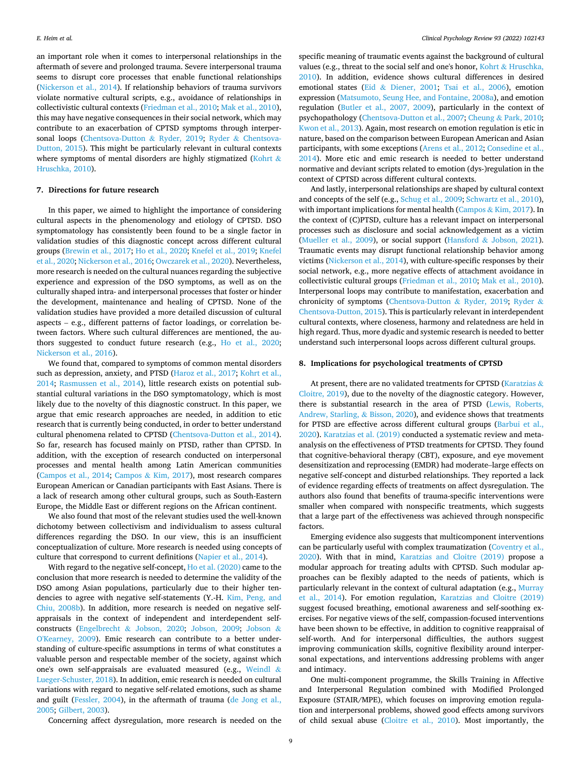an important role when it comes to interpersonal relationships in the aftermath of severe and prolonged trauma. Severe interpersonal trauma seems to disrupt core processes that enable functional relationships ([Nickerson et al., 2014\)](#page-12-0). If relationship behaviors of trauma survivors violate normative cultural scripts, e.g., avoidance of relationships in collectivistic cultural contexts [\(Friedman et al., 2010](#page-11-0); [Mak et al., 2010](#page-12-0)), this may have negative consequences in their social network, which may contribute to an exacerbation of CPTSD symptoms through interpersonal loops ([Chentsova-Dutton](#page-10-0) & Ryder, 2019; Ryder & [Chentsova-](#page-12-0)[Dutton, 2015\)](#page-12-0). This might be particularly relevant in cultural contexts where symptoms of mental disorders are highly stigmatized ([Kohrt](#page-12-0)  $\&$ [Hruschka, 2010\)](#page-12-0).

#### **7. Directions for future research**

In this paper, we aimed to highlight the importance of considering cultural aspects in the phenomenology and etiology of CPTSD. DSO symptomatology has consistently been found to be a single factor in validation studies of this diagnostic concept across different cultural groups ([Brewin et al., 2017](#page-10-0); [Ho et al., 2020;](#page-11-0) [Knefel et al., 2019; Knefel](#page-11-0)  [et al., 2020](#page-11-0); [Nickerson et al., 2016; Owczarek et al., 2020\)](#page-12-0). Nevertheless, more research is needed on the cultural nuances regarding the subjective experience and expression of the DSO symptoms, as well as on the culturally shaped intra- and interpersonal processes that foster or hinder the development, maintenance and healing of CPTSD. None of the validation studies have provided a more detailed discussion of cultural aspects – e.g., different patterns of factor loadings, or correlation between factors. Where such cultural differences are mentioned, the authors suggested to conduct future research (e.g., [Ho et al., 2020](#page-11-0); [Nickerson et al., 2016](#page-12-0)).

We found that, compared to symptoms of common mental disorders such as depression, anxiety, and PTSD [\(Haroz et al., 2017;](#page-11-0) [Kohrt et al.,](#page-12-0)  [2014;](#page-12-0) [Rasmussen et al., 2014](#page-12-0)), little research exists on potential substantial cultural variations in the DSO symptomatology, which is most likely due to the novelty of this diagnostic construct. In this paper, we argue that emic research approaches are needed, in addition to etic research that is currently being conducted, in order to better understand cultural phenomena related to CPTSD [\(Chentsova-Dutton et al., 2014](#page-10-0)). So far, research has focused mainly on PTSD, rather than CPTSD. In addition, with the exception of research conducted on interpersonal processes and mental health among Latin American communities ([Campos et al., 2014](#page-10-0); Campos & [Kim, 2017\)](#page-10-0), most research compares European American or Canadian participants with East Asians. There is a lack of research among other cultural groups, such as South-Eastern Europe, the Middle East or different regions on the African continent.

We also found that most of the relevant studies used the well-known dichotomy between collectivism and individualism to assess cultural differences regarding the DSO. In our view, this is an insufficient conceptualization of culture. More research is needed using concepts of culture that correspond to current definitions [\(Napier et al., 2014\)](#page-12-0).

With regard to the negative self-concept, [Ho et al. \(2020\)](#page-11-0) came to the conclusion that more research is needed to determine the validity of the DSO among Asian populations, particularly due to their higher tendencies to agree with negative self-statements (Y.-H. [Kim, Peng, and](#page-11-0)  [Chiu, 2008b](#page-11-0)). In addition, more research is needed on negative selfappraisals in the context of independent and interdependent selfconstructs (Engelbrecht & [Jobson, 2020;](#page-10-0) [Jobson, 2009;](#page-11-0) [Jobson](#page-11-0) & [O'Kearney, 2009](#page-11-0)). Emic research can contribute to a better understanding of culture-specific assumptions in terms of what constitutes a valuable person and respectable member of the society, against which one's own self-appraisals are evaluated measured (e.g., [Weindl](#page-13-0) & [Lueger-Schuster, 2018\)](#page-13-0). In addition, emic research is needed on cultural variations with regard to negative self-related emotions, such as shame and guilt [\(Fessler, 2004\)](#page-11-0), in the aftermath of trauma [\(de Jong et al.,](#page-11-0)  [2005; Gilbert, 2003](#page-11-0)).

specific meaning of traumatic events against the background of cultural values (e.g., threat to the social self and one's honor, Kohrt & [Hruschka,](#page-12-0)  [2010\)](#page-12-0). In addition, evidence shows cultural differences in desired emotional states (Eid & [Diener, 2001;](#page-10-0) [Tsai et al., 2006\)](#page-12-0), emotion expression ([Matsumoto, Seung Hee, and Fontaine, 2008a](#page-12-0)), and emotion regulation ([Butler et al., 2007, 2009\)](#page-10-0), particularly in the context of psychopathology [\(Chentsova-Dutton et al., 2007](#page-10-0); Cheung & [Park, 2010](#page-10-0); [Kwon et al., 2013\)](#page-12-0). Again, most research on emotion regulation is etic in nature, based on the comparison between European American and Asian participants, with some exceptions [\(Arens et al., 2012](#page-10-0); [Consedine et al.,](#page-10-0)  [2014\)](#page-10-0). More etic and emic research is needed to better understand normative and deviant scripts related to emotion (dys-)regulation in the context of CPTSD across different cultural contexts.

And lastly, interpersonal relationships are shaped by cultural context and concepts of the self (e.g., [Schug et al., 2009; Schwartz et al., 2010](#page-12-0)), with important implications for mental health (Campos  $\&$  [Kim, 2017\)](#page-10-0). In the context of (C)PTSD, culture has a relevant impact on interpersonal processes such as disclosure and social acknowledgement as a victim ([Mueller et al., 2009\)](#page-12-0), or social support (Hansford & [Jobson, 2021](#page-11-0)). Traumatic events may disrupt functional relationship behavior among victims [\(Nickerson et al., 2014\)](#page-12-0), with culture-specific responses by their social network, e.g., more negative effects of attachment avoidance in collectivistic cultural groups ([Friedman et al., 2010](#page-11-0); [Mak et al., 2010](#page-12-0)). Interpersonal loops may contribute to manifestation, exacerbation and chronicity of symptoms [\(Chentsova-Dutton](#page-10-0) & Ryder, 2019; [Ryder](#page-12-0) & [Chentsova-Dutton, 2015\)](#page-12-0). This is particularly relevant in interdependent cultural contexts, where closeness, harmony and relatedness are held in high regard. Thus, more dyadic and systemic research is needed to better understand such interpersonal loops across different cultural groups.

#### **8. Implications for psychological treatments of CPTSD**

At present, there are no validated treatments for CPTSD [\(Karatzias](#page-11-0) & [Cloitre, 2019](#page-11-0)), due to the novelty of the diagnostic category. However, there is substantial research in the area of PTSD ([Lewis, Roberts,](#page-12-0)  [Andrew, Starling,](#page-12-0) & Bisson, 2020), and evidence shows that treatments for PTSD are effective across different cultural groups ([Barbui et al.,](#page-10-0)  [2020\)](#page-10-0). [Karatzias et al. \(2019\)](#page-11-0) conducted a systematic review and metaanalysis on the effectiveness of PTSD treatments for CPTSD. They found that cognitive-behavioral therapy (CBT), exposure, and eye movement desensitization and reprocessing (EMDR) had moderate–large effects on negative self-concept and disturbed relationships. They reported a lack of evidence regarding effects of treatments on affect dysregulation. The authors also found that benefits of trauma-specific interventions were smaller when compared with nonspecific treatments, which suggests that a large part of the effectiveness was achieved through nonspecific factors.

Emerging evidence also suggests that multicomponent interventions can be particularly useful with complex traumatization [\(Coventry et al.,](#page-10-0)  [2020\)](#page-10-0). With that in mind, [Karatzias and Cloitre \(2019\)](#page-11-0) propose a modular approach for treating adults with CPTSD. Such modular approaches can be flexibly adapted to the needs of patients, which is particularly relevant in the context of cultural adaptation (e.g., [Murray](#page-12-0)  [et al., 2014\)](#page-12-0). For emotion regulation, [Karatzias and Cloitre \(2019\)](#page-11-0)  suggest focused breathing, emotional awareness and self-soothing exercises. For negative views of the self, compassion-focused interventions have been shown to be effective, in addition to cognitive reappraisal of self-worth. And for interpersonal difficulties, the authors suggest improving communication skills, cognitive flexibility around interpersonal expectations, and interventions addressing problems with anger and intimacy.

One multi-component programme, the Skills Training in Affective and Interpersonal Regulation combined with Modified Prolonged Exposure (STAIR/MPE), which focuses on improving emotion regulation and interpersonal problems, showed good effects among survivors of child sexual abuse [\(Cloitre et al., 2010\)](#page-10-0). Most importantly, the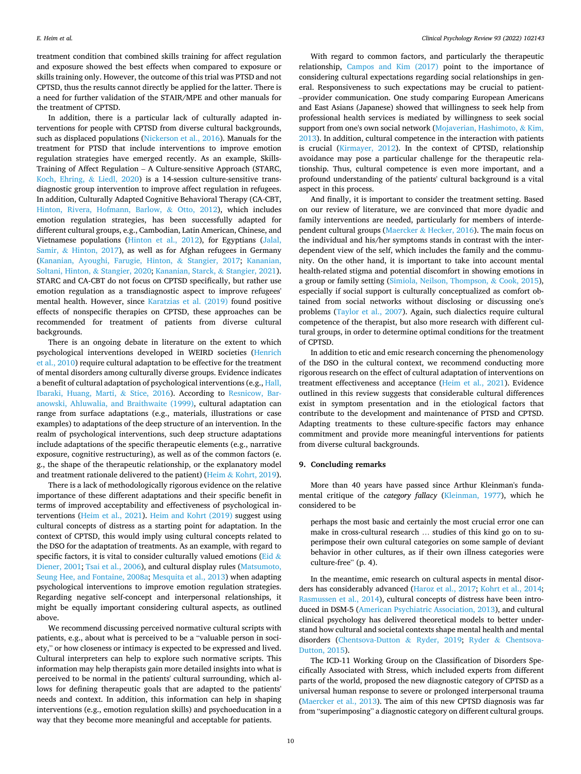treatment condition that combined skills training for affect regulation and exposure showed the best effects when compared to exposure or skills training only. However, the outcome of this trial was PTSD and not CPTSD, thus the results cannot directly be applied for the latter. There is a need for further validation of the STAIR/MPE and other manuals for the treatment of CPTSD.

In addition, there is a particular lack of culturally adapted interventions for people with CPTSD from diverse cultural backgrounds, such as displaced populations ([Nickerson et al., 2016](#page-12-0)). Manuals for the treatment for PTSD that include interventions to improve emotion regulation strategies have emerged recently. As an example, Skills-Training of Affect Regulation – A Culture-sensitive Approach (STARC, [Koch, Ehring,](#page-11-0) & Liedl, 2020) is a 14-session culture-sensitive transdiagnostic group intervention to improve affect regulation in refugees. In addition, Culturally Adapted Cognitive Behavioral Therapy (CA-CBT, [Hinton, Rivera, Hofmann, Barlow,](#page-11-0) & Otto, 2012), which includes emotion regulation strategies, has been successfully adapted for different cultural groups, e.g., Cambodian, Latin American, Chinese, and Vietnamese populations [\(Hinton et al., 2012](#page-11-0)), for Egyptians ([Jalal,](#page-11-0)  Samir, & [Hinton, 2017\)](#page-11-0), as well as for Afghan refugees in Germany ([Kananian, Ayoughi, Farugie, Hinton,](#page-11-0) & Stangier, 2017; [Kananian,](#page-11-0)  [Soltani, Hinton,](#page-11-0) & Stangier, 2020; [Kananian, Starck,](#page-11-0) & Stangier, 2021). STARC and CA-CBT do not focus on CPTSD specifically, but rather use emotion regulation as a transdiagnostic aspect to improve refugees' mental health. However, since [Karatzias et al. \(2019\)](#page-11-0) found positive effects of nonspecific therapies on CPTSD, these approaches can be recommended for treatment of patients from diverse cultural backgrounds.

There is an ongoing debate in literature on the extent to which psychological interventions developed in WEIRD societies ([Henrich](#page-11-0)  [et al., 2010\)](#page-11-0) require cultural adaptation to be effective for the treatment of mental disorders among culturally diverse groups. Evidence indicates a benefit of cultural adaptation of psychological interventions (e.g., [Hall,](#page-11-0)  [Ibaraki, Huang, Marti,](#page-11-0) & Stice, 2016). According to [Resnicow, Bar](#page-12-0)[anowski, Ahluwalia, and Braithwaite \(1999\),](#page-12-0) cultural adaptation can range from surface adaptations (e.g., materials, illustrations or case examples) to adaptations of the deep structure of an intervention. In the realm of psychological interventions, such deep structure adaptations include adaptations of the specific therapeutic elements (e.g., narrative exposure, cognitive restructuring), as well as of the common factors (e. g., the shape of the therapeutic relationship, or the explanatory model and treatment rationale delivered to the patient) (Heim & [Kohrt, 2019](#page-11-0)).

There is a lack of methodologically rigorous evidence on the relative importance of these different adaptations and their specific benefit in terms of improved acceptability and effectiveness of psychological interventions ([Heim et al., 2021\)](#page-11-0). [Heim and Kohrt \(2019\)](#page-11-0) suggest using cultural concepts of distress as a starting point for adaptation. In the context of CPTSD, this would imply using cultural concepts related to the DSO for the adaptation of treatments. As an example, with regard to specific factors, it is vital to consider culturally valued emotions ([Eid](#page-10-0)  $\&$ [Diener, 2001](#page-10-0); [Tsai et al., 2006\)](#page-12-0), and cultural display rules ([Matsumoto,](#page-12-0)  [Seung Hee, and Fontaine, 2008a](#page-12-0); [Mesquita et al., 2013\)](#page-12-0) when adapting psychological interventions to improve emotion regulation strategies. Regarding negative self-concept and interpersonal relationships, it might be equally important considering cultural aspects, as outlined above.

We recommend discussing perceived normative cultural scripts with patients, e.g., about what is perceived to be a "valuable person in society," or how closeness or intimacy is expected to be expressed and lived. Cultural interpreters can help to explore such normative scripts. This information may help therapists gain more detailed insights into what is perceived to be normal in the patients' cultural surrounding, which allows for defining therapeutic goals that are adapted to the patients' needs and context. In addition, this information can help in shaping interventions (e.g., emotion regulation skills) and psychoeducation in a way that they become more meaningful and acceptable for patients.

With regard to common factors, and particularly the therapeutic relationship, [Campos and Kim \(2017\)](#page-10-0) point to the importance of considering cultural expectations regarding social relationships in general. Responsiveness to such expectations may be crucial to patient-–provider communication. One study comparing European Americans and East Asians (Japanese) showed that willingness to seek help from professional health services is mediated by willingness to seek social support from one's own social network [\(Mojaverian, Hashimoto,](#page-12-0) & Kim, [2013\)](#page-12-0). In addition, cultural competence in the interaction with patients is crucial [\(Kirmayer, 2012\)](#page-11-0). In the context of CPTSD, relationship avoidance may pose a particular challenge for the therapeutic relationship. Thus, cultural competence is even more important, and a profound understanding of the patients' cultural background is a vital aspect in this process.

And finally, it is important to consider the treatment setting. Based on our review of literature, we are convinced that more dyadic and family interventions are needed, particularly for members of interdependent cultural groups (Maercker & [Hecker, 2016\)](#page-12-0). The main focus on the individual and his/her symptoms stands in contrast with the interdependent view of the self, which includes the family and the community. On the other hand, it is important to take into account mental health-related stigma and potential discomfort in showing emotions in a group or family setting ([Simiola, Neilson, Thompson,](#page-12-0) & Cook, 2015), especially if social support is culturally conceptualized as comfort obtained from social networks without disclosing or discussing one's problems [\(Taylor et al., 2007\)](#page-12-0). Again, such dialectics require cultural competence of the therapist, but also more research with different cultural groups, in order to determine optimal conditions for the treatment of CPTSD.

In addition to etic and emic research concerning the phenomenology of the DSO in the cultural context, we recommend conducting more rigorous research on the effect of cultural adaptation of interventions on treatment effectiveness and acceptance [\(Heim et al., 2021](#page-11-0)). Evidence outlined in this review suggests that considerable cultural differences exist in symptom presentation and in the etiological factors that contribute to the development and maintenance of PTSD and CPTSD. Adapting treatments to these culture-specific factors may enhance commitment and provide more meaningful interventions for patients from diverse cultural backgrounds.

# **9. Concluding remarks**

More than 40 years have passed since Arthur Kleinman's fundamental critique of the *category fallacy* ([Kleinman, 1977\)](#page-11-0), which he considered to be

perhaps the most basic and certainly the most crucial error one can make in cross-cultural research … studies of this kind go on to superimpose their own cultural categories on some sample of deviant behavior in other cultures, as if their own illness categories were culture-free" (p. 4).

In the meantime, emic research on cultural aspects in mental disorders has considerably advanced [\(Haroz et al., 2017](#page-11-0); [Kohrt et al., 2014](#page-12-0); [Rasmussen et al., 2014\)](#page-12-0), cultural concepts of distress have been introduced in DSM-5 ([American Psychiatric Association, 2013\)](#page-10-0), and cultural clinical psychology has delivered theoretical models to better understand how cultural and societal contexts shape mental health and mental disorders [\(Chentsova-Dutton](#page-10-0) & Ryder, 2019; Ryder & [Chentsova-](#page-12-0)[Dutton, 2015\)](#page-12-0).

The ICD-11 Working Group on the Classification of Disorders Specifically Associated with Stress, which included experts from different parts of the world, proposed the new diagnostic category of CPTSD as a universal human response to severe or prolonged interpersonal trauma ([Maercker et al., 2013](#page-12-0)). The aim of this new CPTSD diagnosis was far from "superimposing" a diagnostic category on different cultural groups.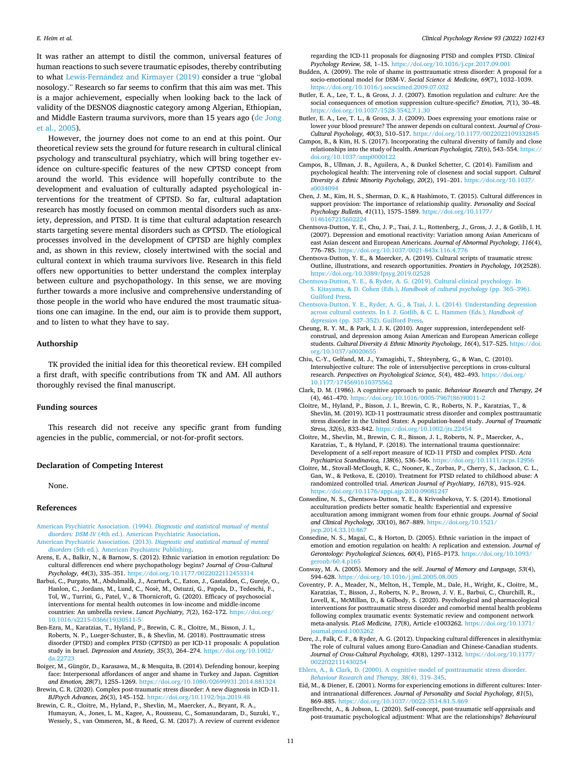<span id="page-10-0"></span>It was rather an attempt to distil the common, universal features of human reactions to such severe traumatic episodes, thereby contributing to what Lewis-Fernández [and Kirmayer \(2019\)](#page-12-0) consider a true "global nosology." Research so far seems to confirm that this aim was met. This is a major achievement, especially when looking back to the lack of validity of the DESNOS diagnostic category among Algerian, Ethiopian, and Middle Eastern trauma survivors, more than 15 years ago [\(de Jong](#page-11-0)  [et al., 2005\)](#page-11-0).

However, the journey does not come to an end at this point. Our theoretical review sets the ground for future research in cultural clinical psychology and transcultural psychiatry, which will bring together evidence on culture-specific features of the new CPTSD concept from around the world. This evidence will hopefully contribute to the development and evaluation of culturally adapted psychological interventions for the treatment of CPTSD. So far, cultural adaptation research has mostly focused on common mental disorders such as anxiety, depression, and PTSD. It is time that cultural adaptation research starts targeting severe mental disorders such as CPTSD. The etiological processes involved in the development of CPTSD are highly complex and, as shown in this review, closely intertwined with the social and cultural context in which trauma survivors live. Research in this field offers new opportunities to better understand the complex interplay between culture and psychopathology. In this sense, we are moving further towards a more inclusive and comprehensive understanding of those people in the world who have endured the most traumatic situations one can imagine. In the end, our aim is to provide them support, and to listen to what they have to say.

# **Authorship**

TK provided the initial idea for this theoretical review. EH compiled a first draft, with specific contributions from TK and AM. All authors thoroughly revised the final manuscript.

# **Funding sources**

This research did not receive any specific grant from funding agencies in the public, commercial, or not-for-profit sectors.

#### **Declaration of Competing Interest**

None.

## **References**

- [American Psychiatric Association. \(1994\).](http://refhub.elsevier.com/S0272-7358(22)00028-9/rf202203042133419909) *Diagnostic and statistical manual of mental disorders: DSM-IV* [\(4th ed.\). American Psychiatric Association.](http://refhub.elsevier.com/S0272-7358(22)00028-9/rf202203042133419909)
- [American Psychiatric Association. \(2013\).](http://refhub.elsevier.com/S0272-7358(22)00028-9/rf202203042133554371) *Diagnostic and statistical manual of mental disorders* [\(5th ed.\). American Psychiatric Publishing](http://refhub.elsevier.com/S0272-7358(22)00028-9/rf202203042133554371).
- Arens, E. A., Balkir, N., & Barnow, S. (2012). Ethnic variation in emotion regulation: Do cultural differences end where psychopathology begins? *Journal of Cross-Cultural Psychology, 44*(3), 335–351. <https://doi.org/10.1177/0022022112453314>
- Barbui, C., Purgato, M., Abdulmalik, J., Acarturk, C., Eaton, J., Gastaldon, C., Gureje, O., Hanlon, C., Jordans, M., Lund, C., Nosè, M., Ostuzzi, G., Papola, D., Tedeschi, F., Tol, W., Turrini, G., Patel, V., & Thornicroft, G. (2020). Efficacy of psychosocial interventions for mental health outcomes in low-income and middle-income countries: An umbrella review. *Lancet Psychiatry, 7*(2), 162–172. [https://doi.org/](https://doi.org/10.1016/s2215-0366(19)30511-5)  [10.1016/s2215-0366\(19\)30511-5](https://doi.org/10.1016/s2215-0366(19)30511-5)
- Ben-Ezra, M., Karatzias, T., Hyland, P., Brewin, C. R., Cloitre, M., Bisson, J. I., Roberts, N. P., Lueger-Schuster, B., & Shevlin, M. (2018). Posttraumatic stress disorder (PTSD) and complex PTSD (CPTSD) as per ICD-11 proposals: A population study in Israel. *Depression and Anxiety, 35*(3), 264–274. [https://doi.org/10.1002/](https://doi.org/10.1002/da.22723)  [da.22723](https://doi.org/10.1002/da.22723)
- Boiger, M., Güngör, D., Karasawa, M., & Mesquita, B. (2014). Defending honour, keeping face: Interpersonal affordances of anger and shame in Turkey and Japan. *Cognition and Emotion, 28*(7), 1255–1269. <https://doi.org/10.1080/02699931.2014.881324>
- Brewin, C. R. (2020). Complex post-traumatic stress disorder: A new diagnosis in ICD-11. *BJPsych Advances, 26*(3), 145–152. <https://doi.org/10.1192/bja.2019.48>
- Brewin, C. R., Cloitre, M., Hyland, P., Shevlin, M., Maercker, A., Bryant, R. A., Humayun, A., Jones, L. M., Kagee, A., Rousseau, C., Somasundaram, D., Suzuki, Y., Wessely, S., van Ommeren, M., & Reed, G. M. (2017). A review of current evidence

regarding the ICD-11 proposals for diagnosing PTSD and complex PTSD. *Clinical Psychology Review, 58*, 1–15. <https://doi.org/10.1016/j.cpr.2017.09.001>

- Budden, A. (2009). The role of shame in posttraumatic stress disorder: A proposal for a socio-emotional model for DSM-V. *Social Science & Medicine, 69*(7), 1032–1039. <https://doi.org/10.1016/j.socscimed.2009.07.032>
- Butler, E. A., Lee, T. L., & Gross, J. J. (2007). Emotion regulation and culture: Are the social consequences of emotion suppression culture-specific? *Emotion, 7*(1), 30–48. <https://doi.org/10.1037/1528-3542.7.1.30>
- Butler, E. A., Lee, T. L., & Gross, J. J. (2009). Does expressing your emotions raise or lower your blood pressure? The answer depends on cultural context. *Journal of Cross-Cultural Psychology, 40*(3), 510-517. https://doi.org/10.1177/002202210933
- Campos, B., & Kim, H. S. (2017). Incorporating the cultural diversity of family and close relationships into the study of health. *American Psychologist, 72*(6), 543–554. [https://](https://doi.org/10.1037/amp0000122)  [doi.org/10.1037/amp0000122](https://doi.org/10.1037/amp0000122)
- Campos, B., Ullman, J. B., Aguilera, A., & Dunkel Schetter, C. (2014). Familism and psychological health: The intervening role of closeness and social support. *Cultural Diversity & Ethnic Minority Psychology, 20*(2), 191–201. [https://doi.org/10.1037/](https://doi.org/10.1037/a0034094)  a003409
- Chen, J. M., Kim, H. S., Sherman, D. K., & Hashimoto, T. (2015). Cultural differences in support provision: The importance of relationship quality. *Personality and Socical Psychology Bulletin, 41*(11), 1575–1589. [https://doi.org/10.1177/](https://doi.org/10.1177/0146167215602224)  [0146167215602224](https://doi.org/10.1177/0146167215602224)
- Chentsova-Dutton, Y. E., Chu, J. P., Tsai, J. L., Rottenberg, J., Gross, J. J., & Gotlib, I. H. (2007). Depression and emotional reactivity: Variation among Asian Americans of east Asian descent and European Americans. *Journal of Abnormal Psychology, 116*(4), 776–785. <https://doi.org/10.1037/0021-843x.116.4.776>
- Chentsova-Dutton, Y. E., & Maercker, A. (2019). Cultural scripts of traumatic stress: Outline, illustrations, and research opportunities. *Frontiers in Psychology, 10*(2528). <https://doi.org/10.3389/fpsyg.2019.02528>
- [Chentsova-Dutton, Y. E., & Ryder, A. G. \(2019\). Cultural-clinical psychology. In](http://refhub.elsevier.com/S0272-7358(22)00028-9/rf202203042127394518) [S. Kitayama, & D. Cohen \(Eds.\),](http://refhub.elsevier.com/S0272-7358(22)00028-9/rf202203042127394518) *Handbook of cultural psychology* (pp. 365–396). [Guilford Press.](http://refhub.elsevier.com/S0272-7358(22)00028-9/rf202203042127394518)
- [Chentsova-Dutton, Y. E., Ryder, A. G., & Tsai, J. L. \(2014\). Understanding depression](http://refhub.elsevier.com/S0272-7358(22)00028-9/rf202203042127419383) [across cultural contexts. In I. J. Gotlib, & C. L. Hammen \(Eds.\),](http://refhub.elsevier.com/S0272-7358(22)00028-9/rf202203042127419383) *Handbook of depression* (pp. 337–[352\). Guilford Press.](http://refhub.elsevier.com/S0272-7358(22)00028-9/rf202203042127419383)
- Cheung, R. Y. M., & Park, I. J. K. (2010). Anger suppression, interdependent selfconstrual, and depression among Asian American and European American college students. *Cultural Diversity & Ethnic Minority Psychology, 16*(4), 517–525. [https://doi.](https://doi.org/10.1037/a0020655)  [org/10.1037/a0020655](https://doi.org/10.1037/a0020655)
- Chiu, C.-Y., Gelfand, M. J., Yamagishi, T., Shteynberg, G., & Wan, C. (2010). Intersubjective culture: The role of intersubjective perceptions in cross-cultural research. *Perspectives on Psychological Science, 5*(4), 482–493. [https://doi.org/](https://doi.org/10.1177/1745691610375562) 10.1177/1745691610375
- Clark, D. M. (1986). A cognitive approach to panic. *Behaviour Research and Therapy, 24*  (4), 461–470. [https://doi.org/10.1016/0005-7967\(86\)90011-2](https://doi.org/10.1016/0005-7967(86)90011-2)
- Cloitre, M., Hyland, P., Bisson, J. I., Brewin, C. R., Roberts, N. P., Karatzias, T., & Shevlin, M. (2019). ICD-11 posttraumatic stress disorder and complex posttraumatic stress disorder in the United States: A population-based study. *Journal of Traumatic Stress, 32*(6), 833–842. <https://doi.org/10.1002/jts.22454>
- Cloitre, M., Shevlin, M., Brewin, C. R., Bisson, J. I., Roberts, N. P., Maercker, A., Karatzias, T., & Hyland, P. (2018). The international trauma questionnaire: Development of a self-report measure of ICD-11 PTSD and complex PTSD. *Acta Psychiatrica Scandinavica, 138*(6), 536–546. <https://doi.org/10.1111/acps.12956>
- Cloitre, M., Stovall-McClough, K. C., Nooner, K., Zorbas, P., Cherry, S., Jackson, C. L., Gan, W., & Petkova, E. (2010). Treatment for PTSD related to childhood abuse: A randomized controlled trial. *American Journal of Psychiatry, 167*(8), 915–924. <https://doi.org/10.1176/appi.ajp.2010.09081247>
- Consedine, N. S., Chentsova-Dutton, Y. E., & Krivoshekova, Y. S. (2014). Emotional acculturation predicts better somatic health: Experiential and expressive acculturation among immigrant women from four ethnic groups. *Journal of Social and Clinical Psychology, 33*(10), 867–889. [https://doi.org/10.1521/](https://doi.org/10.1521/jscp.2014.33.10.867)  [jscp.2014.33.10.867](https://doi.org/10.1521/jscp.2014.33.10.867)
- Consedine, N. S., Magai, C., & Horton, D. (2005). Ethnic variation in the impact of emotion and emotion regulation on health: A replication and extension. *Journal of Gerontology: Psychological Sciences, 60*(4), P165–P173. [https://doi.org/10.1093/](https://doi.org/10.1093/geronb/60.4.p165) [geronb/60.4.p165](https://doi.org/10.1093/geronb/60.4.p165)
- Conway, M. A. (2005). Memory and the self. *Journal of Memory and Language, 53*(4), 594–628. <https://doi.org/10.1016/j.jml.2005.08.005>
- Coventry, P. A., Meader, N., Melton, H., Temple, M., Dale, H., Wright, K., Cloitre, M., Karatzias, T., Bisson, J., Roberts, N. P., Brown, J. V. E., Barbui, C., Churchill, R., Lovell, K., McMillan, D., & Gilbody, S. (2020). Psychological and pharmacological interventions for posttraumatic stress disorder and comorbid mental health problems following complex traumatic events: Systematic review and component network meta-analysis. *PLoS Medicine, 17*(8), Article e1003262. [https://doi.org/10.1371/](https://doi.org/10.1371/journal.pmed.1003262)  [journal.pmed.1003262](https://doi.org/10.1371/journal.pmed.1003262)
- Dere, J., Falk, C. F., & Ryder, A. G. (2012). Unpacking cultural differences in alexithymia: The role of cultural values among Euro-Canadian and Chinese-Canadian students. *Journal of Cross-Cultural Psychology, 43*(8), 1297–1312. [https://doi.org/10.1177/](https://doi.org/10.1177/0022022111430254)  [0022022111430254](https://doi.org/10.1177/0022022111430254)
- [Ehlers, A., & Clark, D. \(2000\). A cognitive model of posttraumatic stress disorder.](http://refhub.elsevier.com/S0272-7358(22)00028-9/rf202203042128437832) *[Behaviour Research and Therapy, 38](http://refhub.elsevier.com/S0272-7358(22)00028-9/rf202203042128437832)*(4), 319–345.
- Eid, M., & Diener, E. (2001). Norms for experiencing emotions in different cultures: Interand intranational differences. *Journal of Personality and Social Psychology, 81*(5), 869–885. <https://doi.org/10.1037//0022-3514.81.5.869>
- Engelbrecht, A., & Jobson, L. (2020). Self-concept, post-traumatic self-appraisals and post-traumatic psychological adjustment: What are the relationships? *Behavioural*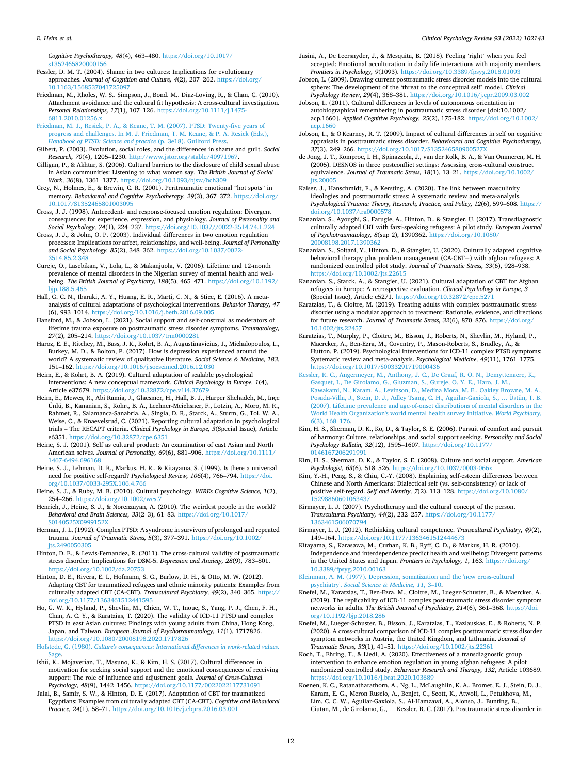#### <span id="page-11-0"></span>*E. Heim et al.*

*Cognitive Psychotherapy, 48*(4), 463–480. [https://doi.org/10.1017/](https://doi.org/10.1017/s1352465820000156) [s1352465820000156](https://doi.org/10.1017/s1352465820000156) 

Fessler, D. M. T. (2004). Shame in two cultures: Implications for evolutionary approaches. *Journal of Cognition and Culture, 4*(2), 207–262. [https://doi.org/](https://doi.org/10.1163/1568537041725097) 0.1163/1568537041

- Friedman, M., Rholes, W. S., Simpson, J., Bond, M., Diaz-Loving, R., & Chan, C. (2010). Attachment avoidance and the cultural fit hypothesis: A cross-cultural investigation. *Personal Relationships, 17*(1), 107–126. [https://doi.org/10.1111/j.1475-](https://doi.org/10.1111/j.1475-6811.2010.01256.x) [6811.2010.01256.x](https://doi.org/10.1111/j.1475-6811.2010.01256.x)
- [Friedman, M. J., Resick, P. A., & Keane, T. M. \(2007\). PTSD: Twenty-five years of](http://refhub.elsevier.com/S0272-7358(22)00028-9/rf202203042134508915)  [progress and challenges. In M. J. Friedman, T. M. Keane, & P. A. Resick \(Eds.\),](http://refhub.elsevier.com/S0272-7358(22)00028-9/rf202203042134508915) *[Handbook of PTSD: Science and practice](http://refhub.elsevier.com/S0272-7358(22)00028-9/rf202203042134508915)* (p. 3e18). Guilford Press.
- Gilbert, P. (2003). Evolution, social roles, and the differences in shame and guilt. *Social Research, 70*(4), 1205–1230. [http://www.jstor.org/stable/40971967.](http://www.jstor.org/stable/40971967)
- Gilligan, P., & Akhtar, S. (2006). Cultural barriers to the disclosure of child sexual abuse in Asian communities: Listening to what women say. *The British Journal of Social Work, 36*(8), 1361–1377.<https://doi.org/10.1093/bjsw/bch309>
- Grey, N., Holmes, E., & Brewin, C. R. (2001). Peritraumatic emotional "hot spots" in memory. *Behavioural and Cognitive Psychotherapy, 29*(3), 367–372. [https://doi.org/](https://doi.org/10.1017/S1352465801003095) [10.1017/S1352465801003095](https://doi.org/10.1017/S1352465801003095)
- Gross, J. J. (1998). Antecedent- and response-focused emotion regulation: Divergent consequences for experience, expression, and physiology. *Journal of Personality and Social Psychology, 74*(1), 224–237. <https://doi.org/10.1037//0022-3514.74.1.224>
- Gross, J. J., & John, O. P. (2003). Individual differences in two emotion regulation processes: Implications for affect, relationships, and well-being. *Journal of Personality and Social Psychology, 85*(2), 348–362. [https://doi.org/10.1037/0022-](https://doi.org/10.1037/0022-3514.85.2.348) [3514.85.2.348](https://doi.org/10.1037/0022-3514.85.2.348)
- Gureje, O., Lasebikan, V., Lola, L., & Makanjuola, V. (2006). Lifetime and 12-month prevalence of mental disorders in the Nigerian survey of mental health and wellbeing. *The British Journal of Psychiatry, 188*(5), 465–471. [https://doi.org/10.1192/](https://doi.org/10.1192/bjp.188.5.465) [bjp.188.5.465](https://doi.org/10.1192/bjp.188.5.465)
- Hall, G. C. N., Ibaraki, A. Y., Huang, E. R., Marti, C. N., & Stice, E. (2016). A metaanalysis of cultural adaptations of psychological interventions. *Behavior Therapy, 47*  (6), 993–1014. <https://doi.org/10.1016/j.beth.2016.09.005>
- Hansford, M., & Jobson, L. (2021). Social support and self-construal as moderators of lifetime trauma exposure on posttraumatic stress disorder symptoms. *Traumatology, 27*(2), 205–214. <https://doi.org/10.1037/trm0000281>
- Haroz, E. E., Ritchey, M., Bass, J. K., Kohrt, B. A., Augustinavicius, J., Michalopoulos, L., Burkey, M. D., & Bolton, P. (2017). How is depression experienced around the world? A systematic review of qualitative literature. *Social Science & Medicine, 183*, 151–162. <https://doi.org/10.1016/j.socscimed.2016.12.030>
- Heim, E., & Kohrt, B. A. (2019). Cultural adaptation of scalable psychological interventions: A new conceptual framework. *Clinical Psychology in Europe, 1*(4), Article e37679. <https://doi.org/10.32872/cpe.v1i4.37679>
- Heim, E., Mewes, R., Abi Ramia, J., Glaesmer, H., Hall, B. J., Harper Shehadeh, M., Inçe Ünlü, B., Kananian, S., Kohrt, B. A., Lechner-Meichsner, F., Lotzin, A., Moro, M. R., Rahmet, R., Salamanca-Sanabria, A., Singla, D. R., Starck, A., Sturm, G., Tol, W. A., Weise, C., & Knaevelsrud, C. (2021). Reporting cultural adaptation in psychological trials – The RECAPT criteria. *Clinical Psychology in Europe, 3*(Special Issue), Article e6351. <https://doi.org/10.32872/cpe.6351>
- Heine, S. J. (2001). Self as cultural product: An examination of east Asian and North American selves. *Journal of Personality, 69*(6), 881–906. [https://doi.org/10.1111/](https://doi.org/10.1111/1467-6494.696168) [1467-6494.696168](https://doi.org/10.1111/1467-6494.696168)
- Heine, S. J., Lehman, D. R., Markus, H. R., & Kitayama, S. (1999). Is there a universal need for positive self-regard? *Psychological Review, 106*(4), 766–794. [https://doi.](https://doi.org/10.1037/0033-295X.106.4.766)  [org/10.1037/0033-295X.106.4.766](https://doi.org/10.1037/0033-295X.106.4.766)
- Heine, S. J., & Ruby, M. B. (2010). Cultural psychology. *WIREs Cognitive Science, 1*(2), 254–266. <https://doi.org/10.1002/wcs.7>
- Henrich, J., Heine, S. J., & Norenzayan, A. (2010). The weirdest people in the world? *Behavioral and Brain Sciences, 33*(2–3), 61–83. [https://doi.org/10.1017/](https://doi.org/10.1017/S0140525X0999152X) [S0140525X0999152X](https://doi.org/10.1017/S0140525X0999152X)
- Herman, J. L. (1992). Complex PTSD: A syndrome in survivors of prolonged and repeated trauma. *Journal of Traumatic Stress, 5*(3), 377–391. [https://doi.org/10.1002/](https://doi.org/10.1002/jts.2490050305) [jts.2490050305](https://doi.org/10.1002/jts.2490050305)
- Hinton, D. E., & Lewis-Fernandez, R. (2011). The cross-cultural validity of posttraumatic stress disorder: Implications for DSM-5. *Depression and Anxiety, 28*(9), 783–801. <https://doi.org/10.1002/da.20753>
- Hinton, D. E., Rivera, E. I., Hofmann, S. G., Barlow, D. H., & Otto, M. W. (2012). Adapting CBT for traumatized refugees and ethnic minority patients: Examples from culturally adapted CBT (CA-CBT). *Transcultural Psychiatry, 49*(2), 340–365. [https://](https://doi.org/10.1177/1363461512441595)  [doi.org/10.1177/1363461512441595](https://doi.org/10.1177/1363461512441595)
- Ho, G. W. K., Hyland, P., Shevlin, M., Chien, W. T., Inoue, S., Yang, P. J., Chen, F. H., Chan, A. C. Y., & Karatzias, T. (2020). The validity of ICD-11 PTSD and complex PTSD in east Asian cultures: Findings with young adults from China, Hong Kong, Japan, and Taiwan. *European Journal of Psychotraumatology, 11*(1), 1717826. <https://doi.org/10.1080/20008198.2020.1717826>
- Hofstede, G. (1980). *[Culture's consequences: International differences in work-related values](http://refhub.elsevier.com/S0272-7358(22)00028-9/rf202203042121491745)*.
- [Sage.](http://refhub.elsevier.com/S0272-7358(22)00028-9/rf202203042121491745) Ishii, K., Mojaverian, T., Masuno, K., & Kim, H. S. (2017). Cultural differences in motivation for seeking social support and the emotional consequences of receiving support: The role of influence and adjustment goals. *Journal of Cross-Cultural Psychology, 48*(9), 1442–1456. <https://doi.org/10.1177/0022022117731091>
- Jalal, B., Samir, S. W., & Hinton, D. E. (2017). Adaptation of CBT for traumatized Egyptians: Examples from culturally adapted CBT (CA-CBT). *Cognitive and Behavioral Practice, 24*(1), 58–71. <https://doi.org/10.1016/j.cbpra.2016.03.001>
- Jasini, A., De Leersnyder, J., & Mesquita, B. (2018). Feeling 'right' when you feel accepted: Emotional acculturation in daily life interactions with majority members. *Frontiers in Psychology, 9*(1093). <https://doi.org/10.3389/fpsyg.2018.01093>
- Jobson, L. (2009). Drawing current posttraumatic stress disorder models into the cultural sphere: The development of the 'threat to the conceptual self' model. *Clinical Psychology Review, 29*(4), 368–381. <https://doi.org/10.1016/j.cpr.2009.03.002>
- Jobson, L. (2011). Cultural differences in levels of autonomous orientation in autobiographical remembering in posttraumatic stress disorder [doi:10.1002/ acp.1660]. *Applied Cognitive Psychology, 25*(2), 175-182. [https://doi.org/10.1002/](https://doi.org/10.1002/acp.1660)  [acp.1660](https://doi.org/10.1002/acp.1660)
- Jobson, L., & O'Kearney, R. T. (2009). Impact of cultural differences in self on cognitive appraisals in posttraumatic stress disorder. *Behavioural and Cognitive Psychotherapy,*  37(3), 249-266. https://doi.org/10.1017/S13524658090052
- de Jong, J. T., Komproe, I. H., Spinazzola, J., van der Kolk, B. A., & Van Ommeren, M. H. (2005). DESNOS in three postconflict settings: Assessing cross-cultural construct equivalence. *Journal of Traumatic Stress, 18*(1), 13–21. [https://doi.org/10.1002/](https://doi.org/10.1002/jts.20005) its.20005
- Kaiser, J., Hanschmidt, F., & Kersting, A. (2020). The link between masculinity ideologies and posttraumatic stress: A systematic review and meta-analysis. *Psychological Trauma: Theory, Research, Practice, and Policy, 12*(6), 599–608. [https://](https://doi.org/10.1037/tra0000578)  [doi.org/10.1037/tra0000578](https://doi.org/10.1037/tra0000578)
- Kananian, S., Ayoughi, S., Farugie, A., Hinton, D., & Stangier, U. (2017). Transdiagnostic culturally adapted CBT with farsi-speaking refugees: A pilot study. *European Journal of Psychotraumatology, 8*(sup 2), 1390362. [https://doi.org/10.1080/](https://doi.org/10.1080/20008198.2017.1390362) [20008198.2017.1390362](https://doi.org/10.1080/20008198.2017.1390362)
- Kananian, S., Soltani, Y., Hinton, D., & Stangier, U. (2020). Culturally adapted cognitive behavioral therapy plus problem management (CA-CBT+) with afghan refugees: A randomized controlled pilot study. *Journal of Traumatic Stress, 33*(6), 928–938. <https://doi.org/10.1002/jts.22615>
- Kananian, S., Starck, A., & Stangier, U. (2021). Cultural adaptation of CBT for Afghan refugees in Europe: A retrospective evaluation. *Clinical Psychology in Europe, 3*  (Special Issue), Article e5271. <https://doi.org/10.32872/cpe.5271>
- Karatzias, T., & Cloitre, M. (2019). Treating adults with complex posttraumatic stress disorder using a modular approach to treatment: Rationale, evidence, and directions for future research. *Journal of Traumatic Stress, 32*(6), 870–876. [https://doi.org/](https://doi.org/10.1002/jts.22457) [10.1002/jts.22457](https://doi.org/10.1002/jts.22457)
- Karatzias, T., Murphy, P., Cloitre, M., Bisson, J., Roberts, N., Shevlin, M., Hyland, P., Maercker, A., Ben-Ezra, M., Coventry, P., Mason-Roberts, S., Bradley, A., & Hutton, P. (2019). Psychological interventions for ICD-11 complex PTSD symptoms: Systematic review and meta-analysis. *Psychological Medicine, 49*(11), 1761–1775. <https://doi.org/10.1017/S0033291719000436>
- [Kessler, R. C., Angermeyer, M., Anthony, J. C., De Graaf, R. O. N., Demyttenaere, K.,](http://refhub.elsevier.com/S0272-7358(22)00028-9/rf202203042123235970) [Gasquet, I., De Girolamo, G., Gluzman, S., Gureje, O. Y. E., Haro, J. M.,](http://refhub.elsevier.com/S0272-7358(22)00028-9/rf202203042123235970)  [Kawakami, N., Karam, A., Levinson, D., Medina Mora, M. E., Oakley Browne, M. A.,](http://refhub.elsevier.com/S0272-7358(22)00028-9/rf202203042123235970)  [Posada-Villa, J., Stein, D. J., Adley Tsang, C. H., Aguilar-Gaxiola, S.,](http://refhub.elsevier.com/S0272-7358(22)00028-9/rf202203042123235970) … Üstün, T. B. [\(2007\). Lifetime prevalence and age-of-onset distributions of mental disorders in the](http://refhub.elsevier.com/S0272-7358(22)00028-9/rf202203042123235970)  [World Health Organization's world mental health survey initiative.](http://refhub.elsevier.com/S0272-7358(22)00028-9/rf202203042123235970) *World Psychiatry, 6*[\(3\), 168](http://refhub.elsevier.com/S0272-7358(22)00028-9/rf202203042123235970)–176.
- Kim, H. S., Sherman, D. K., Ko, D., & Taylor, S. E. (2006). Pursuit of comfort and pursuit of harmony: Culture, relationships, and social support seeking. *Personality and Social Psychology Bulletin, 32*(12), 1595–1607. [https://doi.org/10.1177/](https://doi.org/10.1177/0146167206291991)  [0146167206291991](https://doi.org/10.1177/0146167206291991)
- Kim, H. S., Sherman, D. K., & Taylor, S. E. (2008). Culture and social support. *American Psychologist, 63*(6), 518–526. <https://doi.org/10.1037/0003-066x>
- Kim, Y.-H., Peng, S., & Chiu, C.-Y. (2008). Explaining self-esteem differences between Chinese and North Americans: Dialectical self (vs. self-consistency) or lack of positive self-regard. *Self and Identity, 7*(2), 113–128. [https://doi.org/10.1080/](https://doi.org/10.1080/15298860601063437) [15298860601063437](https://doi.org/10.1080/15298860601063437)
- Kirmayer, L. J. (2007). Psychotherapy and the cultural concept of the person. *Transcultural Psychiatry, 44*(2), 232–257. [https://doi.org/10.1177/](https://doi.org/10.1177/1363461506070794)  [1363461506070794](https://doi.org/10.1177/1363461506070794)
- Kirmayer, L. J. (2012). Rethinking cultural competence. *Transcultural Psychiatry, 49*(2), 149–164. <https://doi.org/10.1177/1363461512444673>
- Kitayama, S., Karasawa, M., Curhan, K. B., Ryff, C. D., & Markus, H. R. (2010). Independence and interdependence predict health and wellbeing: Divergent patterns in the United States and Japan. *Frontiers in Psychology, 1*, 163. [https://doi.org/](https://doi.org/10.3389/fpsyg.2010.00163)  [10.3389/fpsyg.2010.00163](https://doi.org/10.3389/fpsyg.2010.00163)
- [Kleinman, A. M. \(1977\). Depression, somatization and the 'new cross-cultural](http://refhub.elsevier.com/S0272-7358(22)00028-9/rf202203042123301835)  psychiatry'. *[Social Science](http://refhub.elsevier.com/S0272-7358(22)00028-9/rf202203042123301835) & Medicine, 11*, 3–10.
- Knefel, M., Karatzias, T., Ben-Ezra, M., Cloitre, M., Lueger-Schuster, B., & Maercker, A. (2019). The replicability of ICD-11 complex post-traumatic stress disorder symptom networks in adults. *The British Journal of Psychiatry, 214*(6), 361-368. https://do [org/10.1192/bjp.2018.286](https://doi.org/10.1192/bjp.2018.286)
- Knefel, M., Lueger-Schuster, B., Bisson, J., Karatzias, T., Kazlauskas, E., & Roberts, N. P. (2020). A cross-cultural comparison of ICD-11 complex posttraumatic stress disorder symptom networks in Austria, the United Kingdom, and Lithuania. *Journal of Traumatic Stress, 33*(1), 41–51. <https://doi.org/10.1002/jts.22361>
- Koch, T., Ehring, T., & Liedl, A. (2020). Effectiveness of a transdiagnostic group intervention to enhance emotion regulation in young afghan refugees: A pilot randomized controlled study. *Behaviour Research and Therapy, 132*, Article 103689. <https://doi.org/10.1016/j.brat.2020.103689>
- Koenen, K. C., Ratanatharathorn, A., Ng, L., McLaughlin, K. A., Bromet, E. J., Stein, D. J., Karam, E. G., Meron Ruscio, A., Benjet, C., Scott, K., Atwoli, L., Petukhova, M., Lim, C. C. W., Aguilar-Gaxiola, S., Al-Hamzawi, A., Alonso, J., Bunting, B., Ciutan, M., de Girolamo, G., … Kessler, R. C. (2017). Posttraumatic stress disorder in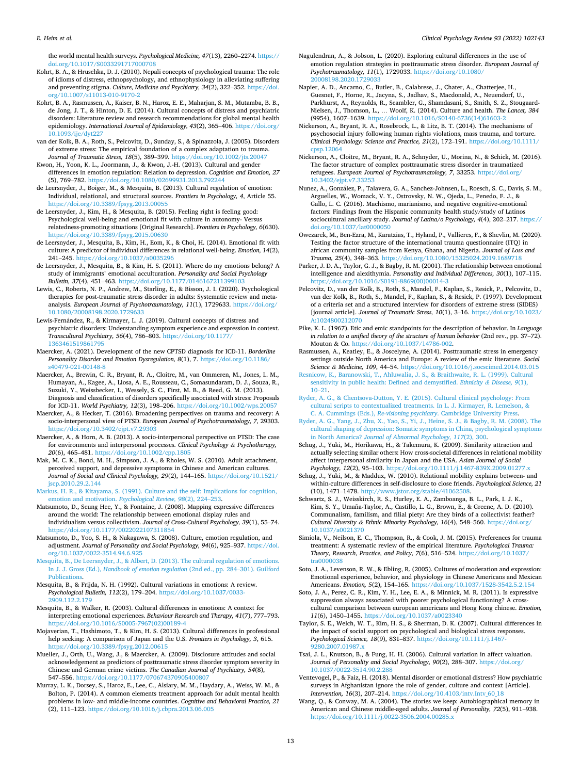<span id="page-12-0"></span>*E. Heim et al.* 

the world mental health surveys. *Psychological Medicine, 47*(13), 2260–2274. [https://](https://doi.org/10.1017/S0033291717000708)  [doi.org/10.1017/S0033291717000708](https://doi.org/10.1017/S0033291717000708) 

- Kohrt, B. A., & Hruschka, D. J. (2010). Nepali concepts of psychological trauma: The role of idioms of distress, ethnopsychology, and ethnophysiology in alleviating suffering and preventing stigma. *Culture, Medicine and Psychiatry, 34*(2), 322–352. [https://doi.](https://doi.org/10.1007/s11013-010-9170-2)  [org/10.1007/s11013-010-9170-2](https://doi.org/10.1007/s11013-010-9170-2)
- Kohrt, B. A., Rasmussen, A., Kaiser, B. N., Haroz, E. E., Maharjan, S. M., Mutamba, B. B., de Jong, J. T., & Hinton, D. E. (2014). Cultural concepts of distress and psychiatric disorders: Literature review and research recommendations for global mental health epidemiology. *International Journal of Epidemiology, 43*(2), 365–406. https://doi.org/<br>10.1093/jie/dvt227 ie/dyt227
- van der Kolk, B. A., Roth, S., Pelcovitz, D., Sunday, S., & Spinazzola, J. (2005). Disorders of extreme stress: The empirical foundation of a complex adaptation to trauma. *Journal of Traumatic Stress, 18*(5), 389–399. <https://doi.org/10.1002/jts.20047>
- Kwon, H., Yoon, K. L., Joormann, J., & Kwon, J.-H. (2013). Cultural and gender differences in emotion regulation: Relation to depression. *Cognition and Emotion, 27*  (5), 769–782.<https://doi.org/10.1080/02699931.2013.792244>
- de Leersnyder, J., Boiger, M., & Mesquita, B. (2013). Cultural regulation of emotion: Individual, relational, and structural sources. *Frontiers in Psychology, 4*, Article 55. <https://doi.org/10.3389/fpsyg.2013.00055>
- de Leersnyder, J., Kim, H., & Mesquita, B. (2015). Feeling right is feeling good: Psychological well-being and emotional fit with culture in autonomy- Versus relatedness-promoting situations [Original Research]. *Frontiers in Psychology, 6*(630). <https://doi.org/10.3389/fpsyg.2015.00630>
- de Leersnyder, J., Mesquita, B., Kim, H., Eom, K., & Choi, H. (2014). Emotional fit with culture: A predictor of individual differences in relational well-being. *Emotion, 14*(2), 241–245. <https://doi.org/10.1037/a0035296>
- de Leersnyder, J., Mesquita, B., & Kim, H. S. (2011). Where do my emotions belong? A study of immigrants' emotional acculturation. *Personality and Social Psychology Bulletin, 37*(4), 451–463. <https://doi.org/10.1177/0146167211399103>
- Lewis, C., Roberts, N. P., Andrew, M., Starling, E., & Bisson, J. I. (2020). Psychological therapies for post-traumatic stress disorder in adults: Systematic review and metaanalysis. *European Journal of Psychotraumatology, 11*(1), 1729633. [https://doi.org/](https://doi.org/10.1080/20008198.2020.1729633) [10.1080/20008198.2020.1729633](https://doi.org/10.1080/20008198.2020.1729633)
- Lewis-Fernández, R., & Kirmayer, L. J. (2019). Cultural concepts of distress and psychiatric disorders: Understanding symptom experience and expression in context. *Transcultural Psychiatry, 56*(4), 786–803. [https://doi.org/10.1177/](https://doi.org/10.1177/1363461519861795)  [1363461519861795](https://doi.org/10.1177/1363461519861795)
- Maercker, A. (2021). Development of the new CPTSD diagnosis for ICD-11. *Borderline Personality Disorder and Emotion Dysregulation, 8*(1), 7. [https://doi.org/10.1186/](https://doi.org/10.1186/s40479-021-00148-8) [s40479-021-00148-8](https://doi.org/10.1186/s40479-021-00148-8)
- Maercker, A., Brewin, C. R., Bryant, R. A., Cloitre, M., van Ommeren, M., Jones, L. M., Humayan, A., Kagee, A., Llosa, A. E., Rousseau, C., Somasundaram, D. J., Souza, R., Suzuki, Y., Weissbecker, I., Wessely, S. C., First, M. B., & Reed, G. M. (2013). Diagnosis and classification of disorders specifically associated with stress: Proposals for ICD-11. *World Psychiatry, 12*(3), 198–206. <https://doi.org/10.1002/wps.20057>
- Maercker, A., & Hecker, T. (2016). Broadening perspectives on trauma and recovery: A socio-interpersonal view of PTSD. *European Journal of Psychotraumatology, 7*, 29303. <https://doi.org/10.3402/ejpt.v7.29303>
- Maercker, A., & Horn, A. B. (2013). A socio-interpersonal perspective on PTSD: The case for environments and interpersonal processes. *Clinical Psychology & Psychotherapy, 20*(6), 465–481. <https://doi.org/10.1002/cpp.1805>
- Mak, M. C. K., Bond, M. H., Simpson, J. A., & Rholes, W. S. (2010). Adult attachment, perceived support, and depressive symptoms in Chinese and American cultures. *Journal of Social and Clinical Psychology, 29*(2), 144–165. [https://doi.org/10.1521/](https://doi.org/10.1521/jscp.2010.29.2.144) [jscp.2010.29.2.144](https://doi.org/10.1521/jscp.2010.29.2.144)
- [Markus, H. R., & Kitayama, S. \(1991\). Culture and the self: Implications for cognition,](http://refhub.elsevier.com/S0272-7358(22)00028-9/rf202203042141162403) [emotion and motivation.](http://refhub.elsevier.com/S0272-7358(22)00028-9/rf202203042141162403) *Psychological Review, 98*(2), 224–253.
- Matsumoto, D., Seung Hee, Y., & Fontaine, J. (2008). Mapping expressive differences around the world: The relationship between emotional display rules and individualism versus collectivism. *Journal of Cross-Cultural Psychology, 39*(1), 55–74. <https://doi.org/10.1177/0022022107311854>
- Matsumoto, D., Yoo, S. H., & Nakagawa, S. (2008). Culture, emotion regulation, and adjustment. *Journal of Personality and Social Psychology, 94*(6), 925–937. [https://doi.](https://doi.org/10.1037/0022-3514.94.6.925)  [org/10.1037/0022-3514.94.6.925](https://doi.org/10.1037/0022-3514.94.6.925)
- [Mesquita, B., De Leersnyder, J., & Albert, D. \(2013\). The cultural regulation of emotions.](http://refhub.elsevier.com/S0272-7358(22)00028-9/rf202203042124337584)  In J. J. Gross (Ed.), *[Handbook of emotion regulation](http://refhub.elsevier.com/S0272-7358(22)00028-9/rf202203042124337584)* (2nd ed., pp. 284–301). Guilford [Publications](http://refhub.elsevier.com/S0272-7358(22)00028-9/rf202203042124337584).
- Mesquita, B., & Frijda, N. H. (1992). Cultural variations in emotions: A review. *Psychological Bulletin, 112*(2), 179–204. [https://doi.org/10.1037/0033-](https://doi.org/10.1037/0033-2909.112.2.179) [2909.112.2.179](https://doi.org/10.1037/0033-2909.112.2.179)
- Mesquita, B., & Walker, R. (2003). Cultural differences in emotions: A context for interpreting emotional experiences. *Behaviour Research and Therapy, 41*(7), 777–793. [https://doi.org/10.1016/S0005-7967\(02\)00189-4](https://doi.org/10.1016/S0005-7967(02)00189-4)
- Mojaverian, T., Hashimoto, T., & Kim, H. S. (2013). Cultural differences in professional help seeking: A comparison of Japan and the U.S. *Frontiers in Psychology, 3*, 615. <https://doi.org/10.3389/fpsyg.2012.00615>
- Mueller, J., Orth, U., Wang, J., & Maercker, A. (2009). Disclosure attitudes and social acknowledgement as predictors of posttraumatic stress disorder symptom severity in Chinese and German crime victims. *The Canadian Journal of Psychiatry, 54*(8), 547–556. <https://doi.org/10.1177/070674370905400807>
- Murray, L. K., Dorsey, S., Haroz, E., Lee, C., Alsiary, M. M., Haydary, A., Weiss, W. M., & Bolton, P. (2014). A common elements treatment approach for adult mental health problems in low- and middle-income countries. *Cognitive and Behavioral Practice, 21*  (2), 111–123.<https://doi.org/10.1016/j.cbpra.2013.06.005>
- Nagulendran, A., & Jobson, L. (2020). Exploring cultural differences in the use of emotion regulation strategies in posttraumatic stress disorder. *European Journal of Psychotraumatology, 11*(1), 1729033. [https://doi.org/10.1080/](https://doi.org/10.1080/20008198.2020.1729033) 20008198.2020.172
- Napier, A. D., Ancarno, C., Butler, B., Calabrese, J., Chater, A., Chatterjee, H., Guesnet, F., Horne, R., Jacyna, S., Jadhav, S., Macdonald, A., Neuendorf, U., Parkhurst, A., Reynolds, R., Scambler, G., Shamdasani, S., Smith, S. Z., Stougaard-Nielsen, J., Thomson, L., … Woolf, K. (2014). Culture and health. *The Lancet, 384*  (9954), 1607–1639. [https://doi.org/10.1016/S0140-6736\(14\)61603-2](https://doi.org/10.1016/S0140-6736(14)61603-2)
- Nickerson, A., Bryant, R. A., Rosebrock, L., & Litz, B. T. (2014). The mechanisms of psychosocial injury following human rights violations, mass trauma, and torture. *Clinical Psychology: Science and Practice, 21*(2), 172–191. [https://doi.org/10.1111/](https://doi.org/10.1111/cpsp.12064)   $cpsp.120$
- Nickerson, A., Cloitre, M., Bryant, R. A., Schnyder, U., Morina, N., & Schick, M. (2016). The factor structure of complex posttraumatic stress disorder in traumatized refugees. *European Journal of Psychotraumatology, 7*, 33253. [https://doi.org/](https://doi.org/10.3402/ejpt.v7.33253) [10.3402/ejpt.v7.33253](https://doi.org/10.3402/ejpt.v7.33253)
- Nuñez, A., González, P., Talavera, G. A., Sanchez-Johnsen, L., Roesch, S. C., Davis, S. M., Arguelles, W., Womack, V. Y., Ostrovsky, N. W., Ojeda, L., Penedo, F. J., & Gallo, L. C. (2016). Machismo, marianismo, and negative cognitive-emotional factors: Findings from the Hispanic community health study/study of Latinos sociocultural ancillary study. *Journal of Latina/o Psychology, 4*(4), 202–217. [https://](https://doi.org/10.1037/lat0000050)  [doi.org/10.1037/lat0000050](https://doi.org/10.1037/lat0000050)
- Owczarek, M., Ben-Ezra, M., Karatzias, T., Hyland, P., Vallieres, F., & Shevlin, M. (2020). Testing the factor structure of the international trauma questionnaire (ITQ) in african community samples from Kenya, Ghana, and Nigeria. *Journal of Loss and Trauma, 25*(4), 348–363. <https://doi.org/10.1080/15325024.2019.1689718>
- Parker, J. D. A., Taylor, G. J., & Bagby, R. M. (2001). The relationship between emotional intelligence and alexithymia. *Personality and Individual Differences, 30*(1), 107–115. [https://doi.org/10.1016/S0191-8869\(00\)00014-3](https://doi.org/10.1016/S0191-8869(00)00014-3)
- Pelcovitz, D., van der Kolk, B., Roth, S., Mandel, F., Kaplan, S., Resick, P., Pelcovitz, D., van der Kolk, B., Roth, S., Mandel, F., Kaplan, S., & Resick, P. (1997). Development of a criteria set and a structured interview for disorders of extreme stress (SIDES) [journal article]. *Journal of Traumatic Stress, 10*(1), 3–16. [https://doi.org/10.1023/](https://doi.org/10.1023/A:1024800212070)  [A:1024800212070](https://doi.org/10.1023/A:1024800212070)
- Pike, K. L. (1967). Etic and emic standpoints for the description of behavior. In *Language*  in relation to a unified theory of the structure of human behavior (2nd rev., pp. 37-72). Mouton & Co. [https://doi.org/10.1037/14786-002.](https://doi.org/10.1037/14786-002)
- Rasmussen, A., Keatley, E., & Joscelyne, A. (2014). Posttraumatic stress in emergency settings outside North America and Europe: A review of the emic literature. *Social Science & Medicine, 109*, 44–54. <https://doi.org/10.1016/j.socscimed.2014.03.015>
- [Resnicow, K., Baranowski, T., Ahluwalia, J. S., & Braithwaite, R. L. \(1999\). Cultural](http://refhub.elsevier.com/S0272-7358(22)00028-9/rf202203042144010792)  [sensitivity in public health: Defined and demystified.](http://refhub.elsevier.com/S0272-7358(22)00028-9/rf202203042144010792) *Ethnicity & Disease, 9*(1), 10–[21](http://refhub.elsevier.com/S0272-7358(22)00028-9/rf202203042144010792).
- [Ryder, A. G., & Chentsova-Dutton, Y. E. \(2015\). Cultural clinical psychology: From](http://refhub.elsevier.com/S0272-7358(22)00028-9/rf202203042125541251) [cultural scripts to contextualized treatments. In L. J. Kirmayer, R. Lemelson, &](http://refhub.elsevier.com/S0272-7358(22)00028-9/rf202203042125541251) C. A. Cummings (Eds.), *Re-visioning psychiatry*[. Cambridge University Press.](http://refhub.elsevier.com/S0272-7358(22)00028-9/rf202203042125541251)
- [Ryder, A. G., Yang, J., Zhu, X., Yao, S., Yi, J., Heine, S. J., & Bagby, R. M. \(2008\). The](http://refhub.elsevier.com/S0272-7358(22)00028-9/rf202203042144122049)  [cultural shaping of depression: Somatic symptoms in China, psychological symptoms](http://refhub.elsevier.com/S0272-7358(22)00028-9/rf202203042144122049)  in North America? *[Journal of Abnormal Psychology, 117](http://refhub.elsevier.com/S0272-7358(22)00028-9/rf202203042144122049)*(2), 300.
- Schug, J., Yuki, M., Horikawa, H., & Takemura, K. (2009). Similarity attraction and actually selecting similar others: How cross-societal differences in relational mobility affect interpersonal similarity in Japan and the USA. *Asian Journal of Social Psychology, 12*(2), 95–103.<https://doi.org/10.1111/j.1467-839X.2009.01277.x>
- Schug, J., Yuki, M., & Maddux, W. (2010). Relational mobility explains between- and within-culture differences in self-disclosure to close friends. *Psychological Science, 21*  (10), 1471–1478. [http://www.jstor.org/stable/41062508.](http://www.jstor.org/stable/41062508)
- Schwartz, S. J., Weisskirch, R. S., Hurley, E. A., Zamboanga, B. L., Park, I. J. K., Kim, S. Y., Umaña-Taylor, A., Castillo, L. G., Brown, E., & Greene, A. D. (2010). Communalism, familism, and filial piety: Are they birds of a collectivist feather? *Cultural Diversity & Ethnic Minority Psychology, 16*(4), 548–560. [https://doi.org/](https://doi.org/10.1037/a0021370) [10.1037/a0021370](https://doi.org/10.1037/a0021370)
- Simiola, V., Neilson, E. C., Thompson, R., & Cook, J. M. (2015). Preferences for trauma treatment: A systematic review of the empirical literature. *Psychological Trauma: Theory, Research, Practice, and Policy, 7*(6), 516–524. [https://doi.org/10.1037/](https://doi.org/10.1037/tra0000038) [tra0000038](https://doi.org/10.1037/tra0000038)
- Soto, J. A., Levenson, R. W., & Ebling, R. (2005). Cultures of moderation and expression: Emotional experience, behavior, and physiology in Chinese Americans and Mexican Americans. *Emotion, 5*(2), 154–165.<https://doi.org/10.1037/1528-3542.5.2.154>
- Soto, J. A., Perez, C. R., Kim, Y. H., Lee, E. A., & Minnick, M. R. (2011). Is expressive suppression always associated with poorer psychological functioning? A crosscultural comparison between european americans and Hong Kong chinese. *Emotion, 11*(6), 1450–1455. <https://doi.org/10.1037/a0023340>
- Taylor, S. E., Welch, W. T., Kim, H. S., & Sherman, D. K. (2007). Cultural differences in the impact of social support on psychological and biological stress responses. *Psychological Science, 18*(9), 831–837. [https://doi.org/10.1111/j.1467-](https://doi.org/10.1111/j.1467-9280.2007.01987.x)  9280.2007.01987.
- Tsai, J. L., Knutson, B., & Fung, H. H. (2006). Cultural variation in affect valuation. *Journal of Personality and Social Psychology, 90*(2), 288–307. [https://doi.org/](https://doi.org/10.1037/0022-3514.90.2.288) [10.1037/0022-3514.90.2.288](https://doi.org/10.1037/0022-3514.90.2.288)
- Ventevogel, P., & Faiz, H. (2018). Mental disorder or emotional distress? How psychiatric surveys in Afghanistan ignore the role of gender, culture and context [Article]. *Intervention, 16*(3), 207–214. [https://doi.org/10.4103/intv.Intv\\_60\\_18](https://doi.org/10.4103/intv.Intv_60_18)
- Wang, Q., & Conway, M. A. (2004). The stories we keep: Autobiographical memory in American and Chinese middle-aged adults. *Journal of Personality, 72*(5), 911–938. <https://doi.org/10.1111/j.0022-3506.2004.00285.x>